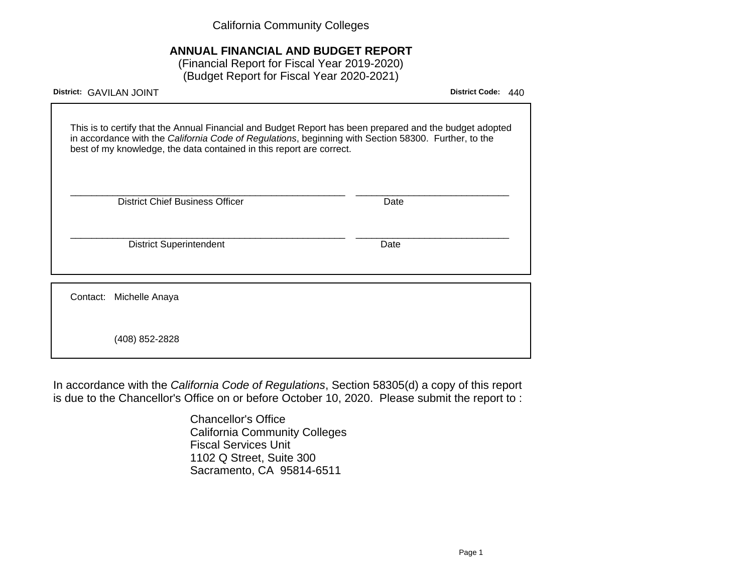California Community Colleges

# **ANNUAL FINANCIAL AND BUDGET REPORT**

(Financial Report for Fiscal Year 2019-2020) (Budget Report for Fiscal Year 2020-2021)

| District: GAVILAN JOINT                                                                                                                                                                                                                                                                 | <b>District Code:</b><br>440 |
|-----------------------------------------------------------------------------------------------------------------------------------------------------------------------------------------------------------------------------------------------------------------------------------------|------------------------------|
| This is to certify that the Annual Financial and Budget Report has been prepared and the budget adopted<br>in accordance with the California Code of Regulations, beginning with Section 58300. Further, to the<br>best of my knowledge, the data contained in this report are correct. |                              |
| <b>District Chief Business Officer</b>                                                                                                                                                                                                                                                  | Date                         |
| <b>District Superintendent</b>                                                                                                                                                                                                                                                          | Date                         |
| Contact:                                                                                                                                                                                                                                                                                |                              |
| Michelle Anaya                                                                                                                                                                                                                                                                          |                              |
| (408) 852-2828                                                                                                                                                                                                                                                                          |                              |

In accordance with the California Code of Regulations, Section 58305(d) a copy of this report is due to the Chancellor's Office on or before October 10, 2020. Please submit the report to :

> Chancellor's Office California Community Colleges Fiscal Services Unit 1102 Q Street, Suite 300 Sacramento, CA 95814-6511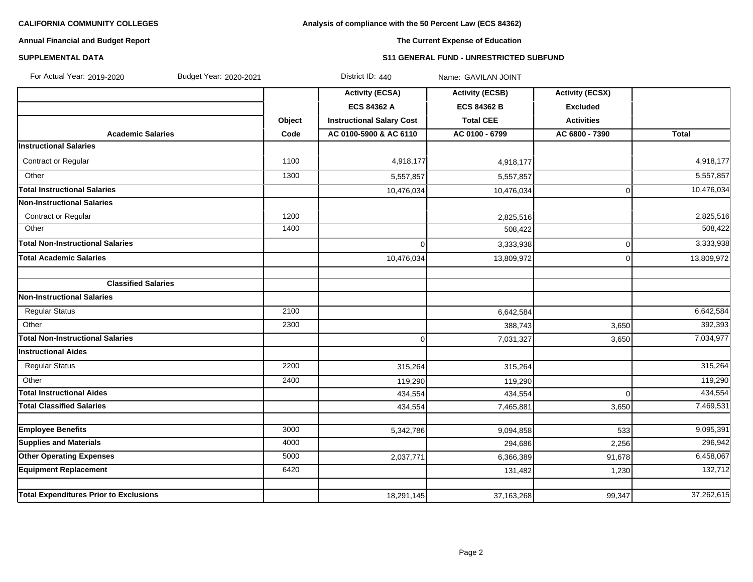# **Analysis of compliance with the 50 Percent Law (ECS 84362)**

# **Annual Financial and Budget Report**

# **The Current Expense of Education**

### **SUPPLEMENTAL DATA S11 GENERAL FUND - UNRESTRICTED SUBFUND**

| For Actual Year: 2019-2020<br>Budget Year: 2020-2021 |        | District ID: 440                 | Name: GAVILAN JOINT    |                        |              |
|------------------------------------------------------|--------|----------------------------------|------------------------|------------------------|--------------|
|                                                      |        | <b>Activity (ECSA)</b>           | <b>Activity (ECSB)</b> | <b>Activity (ECSX)</b> |              |
|                                                      |        | <b>ECS 84362 A</b>               | <b>ECS 84362 B</b>     | <b>Excluded</b>        |              |
|                                                      | Object | <b>Instructional Salary Cost</b> | <b>Total CEE</b>       | <b>Activities</b>      |              |
| <b>Academic Salaries</b>                             | Code   | AC 0100-5900 & AC 6110           | AC 0100 - 6799         | AC 6800 - 7390         | <b>Total</b> |
| <b>Instructional Salaries</b>                        |        |                                  |                        |                        |              |
| Contract or Regular                                  | 1100   | 4,918,177                        | 4,918,177              |                        | 4,918,177    |
| Other                                                | 1300   | 5,557,857                        | 5,557,857              |                        | 5,557,857    |
| <b>Total Instructional Salaries</b>                  |        | 10,476,034                       | 10,476,034             | 0                      | 10,476,034   |
| <b>Non-Instructional Salaries</b>                    |        |                                  |                        |                        |              |
| <b>Contract or Regular</b>                           | 1200   |                                  | 2,825,516              |                        | 2,825,516    |
| Other                                                | 1400   |                                  | 508,422                |                        | 508,422      |
| <b>Total Non-Instructional Salaries</b>              |        | $\Omega$                         | 3,333,938              | 0                      | 3,333,938    |
| <b>Total Academic Salaries</b>                       |        | 10,476,034                       | 13,809,972             | $\mathbf 0$            | 13,809,972   |
| <b>Classified Salaries</b>                           |        |                                  |                        |                        |              |
| <b>Non-Instructional Salaries</b>                    |        |                                  |                        |                        |              |
| <b>Regular Status</b>                                | 2100   |                                  | 6,642,584              |                        | 6,642,584    |
| Other                                                | 2300   |                                  | 388,743                | 3,650                  | 392,393      |
| <b>Total Non-Instructional Salaries</b>              |        | $\overline{0}$                   | 7,031,327              | 3,650                  | 7,034,977    |
| <b>Instructional Aides</b>                           |        |                                  |                        |                        |              |
| <b>Regular Status</b>                                | 2200   | 315,264                          | 315,264                |                        | 315,264      |
| Other                                                | 2400   | 119,290                          | 119,290                |                        | 119,290      |
| <b>Total Instructional Aides</b>                     |        | 434,554                          | 434,554                | $\Omega$               | 434,554      |
| <b>Total Classified Salaries</b>                     |        | 434,554                          | 7,465,881              | 3,650                  | 7,469,531    |
| <b>Employee Benefits</b>                             | 3000   |                                  |                        |                        | 9,095,391    |
| <b>Supplies and Materials</b>                        | 4000   | 5,342,786                        | 9,094,858              | 533                    | 296,942      |
|                                                      |        |                                  | 294,686                | 2,256                  |              |
| <b>Other Operating Expenses</b>                      | 5000   | 2,037,771                        | 6,366,389              | 91,678                 | 6,458,067    |
| <b>Equipment Replacement</b>                         | 6420   |                                  | 131,482                | 1,230                  | 132,712      |
| <b>Total Expenditures Prior to Exclusions</b>        |        | 18,291,145                       | 37, 163, 268           | 99,347                 | 37,262,615   |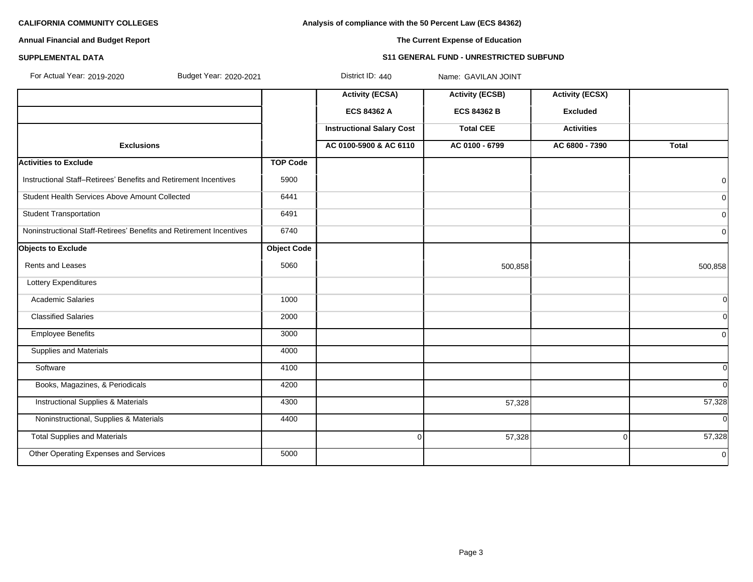**Analysis of compliance with the 50 Percent Law (ECS 84362)**

# **Annual Financial and Budget Report**

**The Current Expense of Education**

#### **SUPPLEMENTAL DATA S11 GENERAL FUND - UNRESTRICTED SUBFUND**

| For Actual Year: 2019-2020<br>Budget Year: 2020-2021                |                    | District ID: 440                 | Name: GAVILAN JOINT    |                        |               |
|---------------------------------------------------------------------|--------------------|----------------------------------|------------------------|------------------------|---------------|
|                                                                     |                    | <b>Activity (ECSA)</b>           | <b>Activity (ECSB)</b> | <b>Activity (ECSX)</b> |               |
|                                                                     |                    | <b>ECS 84362 A</b>               | <b>ECS 84362 B</b>     | <b>Excluded</b>        |               |
|                                                                     |                    | <b>Instructional Salary Cost</b> | <b>Total CEE</b>       | <b>Activities</b>      |               |
| <b>Exclusions</b>                                                   |                    | AC 0100-5900 & AC 6110           | AC 0100 - 6799         | AC 6800 - 7390         | <b>Total</b>  |
| <b>Activities to Exclude</b>                                        | <b>TOP Code</b>    |                                  |                        |                        |               |
| Instructional Staff-Retirees' Benefits and Retirement Incentives    | 5900               |                                  |                        |                        | $\Omega$      |
| Student Health Services Above Amount Collected                      | 6441               |                                  |                        |                        | 0             |
| <b>Student Transportation</b>                                       | 6491               |                                  |                        |                        | 0             |
| Noninstructional Staff-Retirees' Benefits and Retirement Incentives | 6740               |                                  |                        |                        | 0l            |
| <b>Objects to Exclude</b>                                           | <b>Object Code</b> |                                  |                        |                        |               |
| Rents and Leases                                                    | 5060               |                                  | 500,858                |                        | 500,858       |
| Lottery Expenditures                                                |                    |                                  |                        |                        |               |
| <b>Academic Salaries</b>                                            | 1000               |                                  |                        |                        | 0l            |
| <b>Classified Salaries</b>                                          | 2000               |                                  |                        |                        | <sub>0</sub>  |
| <b>Employee Benefits</b>                                            | 3000               |                                  |                        |                        | $\Omega$      |
| <b>Supplies and Materials</b>                                       | 4000               |                                  |                        |                        |               |
| Software                                                            | 4100               |                                  |                        |                        | <sub>0</sub>  |
| Books, Magazines, & Periodicals                                     | 4200               |                                  |                        |                        | ΩI            |
| <b>Instructional Supplies &amp; Materials</b>                       | 4300               |                                  | 57,328                 |                        | 57,328        |
| Noninstructional, Supplies & Materials                              | 4400               |                                  |                        |                        | <sup>ol</sup> |
| <b>Total Supplies and Materials</b>                                 |                    | $\mathbf 0$                      | 57,328                 | $\Omega$               | 57,328        |
| Other Operating Expenses and Services                               | 5000               |                                  |                        |                        | 0l            |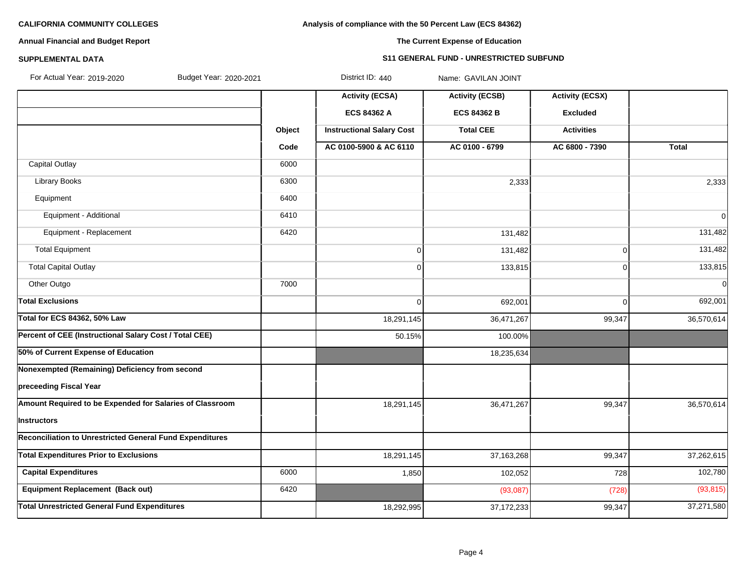# **Analysis of compliance with the 50 Percent Law (ECS 84362)**

# **Annual Financial and Budget Report**

# **The Current Expense of Education**

## **SUPPLEMENTAL DATA S11 GENERAL FUND - UNRESTRICTED SUBFUND**

| For Actual Year: 2019-2020<br>Budget Year: 2020-2021            |        | District ID: 440                 | Name: GAVILAN JOINT    |                        |                |
|-----------------------------------------------------------------|--------|----------------------------------|------------------------|------------------------|----------------|
|                                                                 |        | <b>Activity (ECSA)</b>           | <b>Activity (ECSB)</b> | <b>Activity (ECSX)</b> |                |
|                                                                 |        | ECS 84362 A                      | <b>ECS 84362 B</b>     | <b>Excluded</b>        |                |
|                                                                 | Object | <b>Instructional Salary Cost</b> | <b>Total CEE</b>       | <b>Activities</b>      |                |
|                                                                 | Code   | AC 0100-5900 & AC 6110           | AC 0100 - 6799         | AC 6800 - 7390         | <b>Total</b>   |
| <b>Capital Outlay</b>                                           | 6000   |                                  |                        |                        |                |
| <b>Library Books</b>                                            | 6300   |                                  | 2,333                  |                        | 2,333          |
| Equipment                                                       | 6400   |                                  |                        |                        |                |
| Equipment - Additional                                          | 6410   |                                  |                        |                        | $\overline{0}$ |
| Equipment - Replacement                                         | 6420   |                                  | 131,482                |                        | 131,482        |
| <b>Total Equipment</b>                                          |        | $\overline{0}$                   | 131,482                | $\mathbf 0$            | 131,482        |
| <b>Total Capital Outlay</b>                                     |        | $\overline{0}$                   | 133,815                | $\mathbf 0$            | 133,815        |
| Other Outgo                                                     | 7000   |                                  |                        |                        | $\Omega$       |
| <b>Total Exclusions</b>                                         |        | $\overline{0}$                   | 692,001                | 0                      | 692,001        |
| <b>Total for ECS 84362, 50% Law</b>                             |        | 18,291,145                       | 36,471,267             | 99,347                 | 36,570,614     |
| Percent of CEE (Instructional Salary Cost / Total CEE)          |        | 50.15%                           | 100.00%                |                        |                |
| 50% of Current Expense of Education                             |        |                                  | 18,235,634             |                        |                |
| Nonexempted (Remaining) Deficiency from second                  |        |                                  |                        |                        |                |
| preceeding Fiscal Year                                          |        |                                  |                        |                        |                |
| Amount Required to be Expended for Salaries of Classroom        |        | 18,291,145                       | 36,471,267             | 99,347                 | 36,570,614     |
| Instructors                                                     |        |                                  |                        |                        |                |
| <b>Reconciliation to Unrestricted General Fund Expenditures</b> |        |                                  |                        |                        |                |
| <b>Total Expenditures Prior to Exclusions</b>                   |        | 18,291,145                       | 37, 163, 268           | 99,347                 | 37,262,615     |
| <b>Capital Expenditures</b>                                     | 6000   | 1,850                            | 102,052                | 728                    | 102,780        |
| Equipment Replacement (Back out)                                | 6420   |                                  | (93,087)               | (728)                  | (93, 815)      |
| <b>Total Unrestricted General Fund Expenditures</b>             |        | 18,292,995                       | 37, 172, 233           | 99,347                 | 37,271,580     |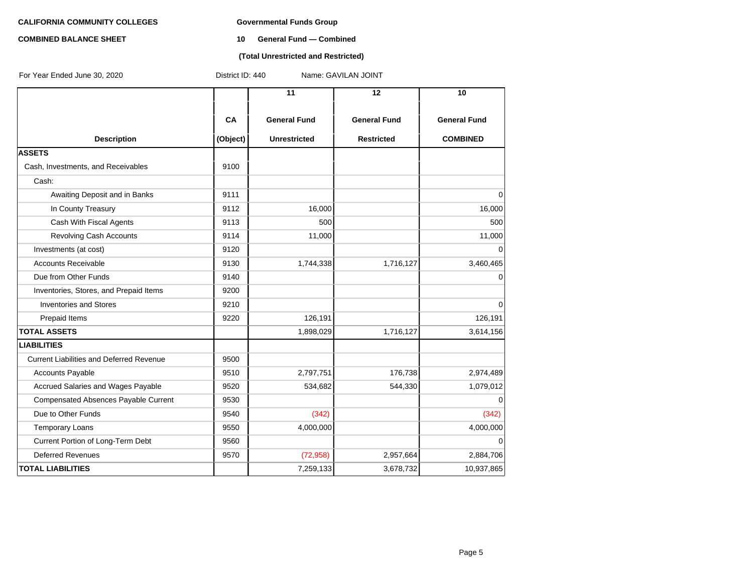#### **COMBINED BALANCE SHEET 10 General Fund — Combined**

### **(Total Unrestricted and Restricted)**

| For Year Ended June 30, 2020                    | District ID: 440<br>Name: GAVILAN JOINT |                     |                     |                     |  |  |
|-------------------------------------------------|-----------------------------------------|---------------------|---------------------|---------------------|--|--|
|                                                 |                                         | 11                  | 12                  | 10                  |  |  |
|                                                 | CA                                      | <b>General Fund</b> | <b>General Fund</b> | <b>General Fund</b> |  |  |
| <b>Description</b>                              | (Object)                                | <b>Unrestricted</b> | <b>Restricted</b>   | <b>COMBINED</b>     |  |  |
| <b>ASSETS</b>                                   |                                         |                     |                     |                     |  |  |
| Cash, Investments, and Receivables              | 9100                                    |                     |                     |                     |  |  |
| Cash:                                           |                                         |                     |                     |                     |  |  |
| Awaiting Deposit and in Banks                   | 9111                                    |                     |                     | $\Omega$            |  |  |
| In County Treasury                              | 9112                                    | 16,000              |                     | 16,000              |  |  |
| Cash With Fiscal Agents                         | 9113                                    | 500                 |                     | 500                 |  |  |
| Revolving Cash Accounts                         | 9114                                    | 11,000              |                     | 11,000              |  |  |
| Investments (at cost)                           | 9120                                    |                     |                     | $\Omega$            |  |  |
| <b>Accounts Receivable</b>                      | 9130                                    | 1,744,338           | 1,716,127           | 3,460,465           |  |  |
| Due from Other Funds                            | 9140                                    |                     |                     | 0                   |  |  |
| Inventories, Stores, and Prepaid Items          | 9200                                    |                     |                     |                     |  |  |
| <b>Inventories and Stores</b>                   | 9210                                    |                     |                     | 0                   |  |  |
| Prepaid Items                                   | 9220                                    | 126,191             |                     | 126,191             |  |  |
| <b>TOTAL ASSETS</b>                             |                                         | 1,898,029           | 1,716,127           | 3,614,156           |  |  |
| <b>LIABILITIES</b>                              |                                         |                     |                     |                     |  |  |
| <b>Current Liabilities and Deferred Revenue</b> | 9500                                    |                     |                     |                     |  |  |
| <b>Accounts Payable</b>                         | 9510                                    | 2,797,751           | 176,738             | 2,974,489           |  |  |
| Accrued Salaries and Wages Payable              | 9520                                    | 534,682             | 544,330             | 1,079,012           |  |  |
| <b>Compensated Absences Payable Current</b>     | 9530                                    |                     |                     | $\Omega$            |  |  |
| Due to Other Funds                              | 9540                                    | (342)               |                     | (342)               |  |  |
| <b>Temporary Loans</b>                          | 9550                                    | 4,000,000           |                     | 4,000,000           |  |  |
| Current Portion of Long-Term Debt               | 9560                                    |                     |                     | 0                   |  |  |
| <b>Deferred Revenues</b>                        | 9570                                    | (72, 958)           | 2,957,664           | 2,884,706           |  |  |
| <b>TOTAL LIABILITIES</b>                        |                                         | 7,259,133           | 3,678,732           | 10,937,865          |  |  |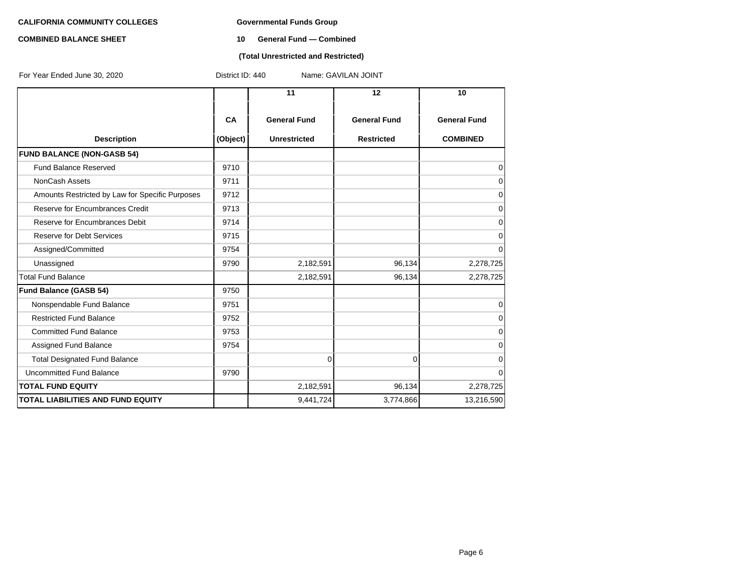#### **COMBINED BALANCE SHEET 10 General Fund — Combined**

### **(Total Unrestricted and Restricted)**

| For Year Ended June 30, 2020                    | District ID: 440 |                     | Name: GAVILAN JOINT |                     |  |
|-------------------------------------------------|------------------|---------------------|---------------------|---------------------|--|
|                                                 |                  | 11                  | 12                  | 10                  |  |
|                                                 | <b>CA</b>        | <b>General Fund</b> | <b>General Fund</b> | <b>General Fund</b> |  |
| <b>Description</b>                              | (Object)         | <b>Unrestricted</b> | <b>Restricted</b>   | <b>COMBINED</b>     |  |
| <b>FUND BALANCE (NON-GASB 54)</b>               |                  |                     |                     |                     |  |
| <b>Fund Balance Reserved</b>                    | 9710             |                     |                     | 0                   |  |
| NonCash Assets                                  | 9711             |                     |                     | 0                   |  |
| Amounts Restricted by Law for Specific Purposes | 9712             |                     |                     | 0                   |  |
| Reserve for Encumbrances Credit                 | 9713             |                     |                     | $\mathbf 0$         |  |
| Reserve for Encumbrances Debit                  | 9714             |                     |                     | $\mathbf 0$         |  |
| <b>Reserve for Debt Services</b>                | 9715             |                     |                     | $\mathbf 0$         |  |
| Assigned/Committed                              | 9754             |                     |                     | $\Omega$            |  |
| Unassigned                                      | 9790             | 2,182,591           | 96,134              | 2,278,725           |  |
| <b>Total Fund Balance</b>                       |                  | 2,182,591           | 96,134              | 2,278,725           |  |
| <b>Fund Balance (GASB 54)</b>                   | 9750             |                     |                     |                     |  |
| Nonspendable Fund Balance                       | 9751             |                     |                     | $\mathbf 0$         |  |
| <b>Restricted Fund Balance</b>                  | 9752             |                     |                     | $\Omega$            |  |
| <b>Committed Fund Balance</b>                   | 9753             |                     |                     | $\mathbf 0$         |  |
| Assigned Fund Balance                           | 9754             |                     |                     | $\Omega$            |  |
| <b>Total Designated Fund Balance</b>            |                  | $\overline{0}$      | $\overline{0}$      | $\mathbf 0$         |  |
| Uncommitted Fund Balance                        | 9790             |                     |                     | $\Omega$            |  |
| <b>TOTAL FUND EQUITY</b>                        |                  | 2,182,591           | 96,134              | 2,278,725           |  |
| <b>TOTAL LIABILITIES AND FUND EQUITY</b>        |                  | 9,441,724           | 3,774,866           | 13,216,590          |  |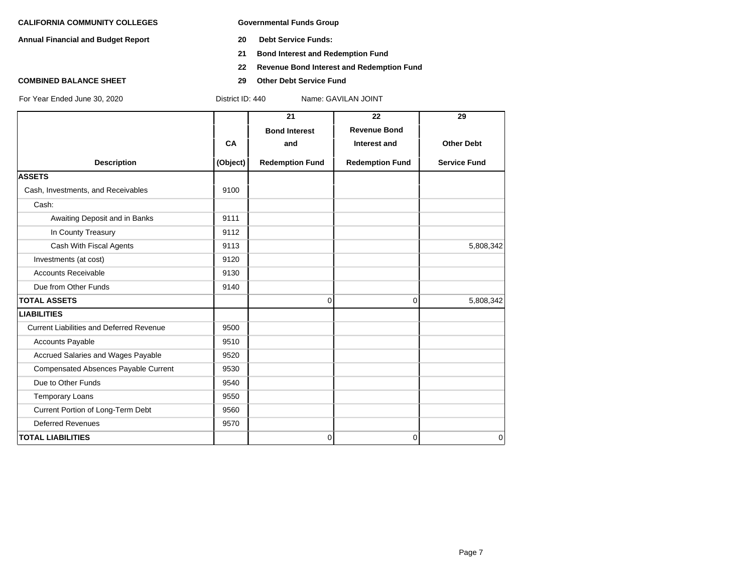**Annual Financial and Budget Report 20 Debt Service Funds:**

- 
- **21 Bond Interest and Redemption Fund**
- **22 Revenue Bond Interest and Redemption Fund**
- **COMBINED BALANCE SHEET 29 Other Debt Service Fund**

|                                                 |          | 21                     | 22                     | 29                  |
|-------------------------------------------------|----------|------------------------|------------------------|---------------------|
|                                                 |          | <b>Bond Interest</b>   | <b>Revenue Bond</b>    |                     |
|                                                 | CA       | and                    | Interest and           | <b>Other Debt</b>   |
| <b>Description</b>                              | (Object) | <b>Redemption Fund</b> | <b>Redemption Fund</b> | <b>Service Fund</b> |
| <b>ASSETS</b>                                   |          |                        |                        |                     |
| Cash, Investments, and Receivables              | 9100     |                        |                        |                     |
| Cash:                                           |          |                        |                        |                     |
| Awaiting Deposit and in Banks                   | 9111     |                        |                        |                     |
| In County Treasury                              | 9112     |                        |                        |                     |
| Cash With Fiscal Agents                         | 9113     |                        |                        | 5,808,342           |
| Investments (at cost)                           | 9120     |                        |                        |                     |
| <b>Accounts Receivable</b>                      | 9130     |                        |                        |                     |
| Due from Other Funds                            | 9140     |                        |                        |                     |
| <b>TOTAL ASSETS</b>                             |          | $\Omega$               | 0                      | 5,808,342           |
| <b>LIABILITIES</b>                              |          |                        |                        |                     |
| <b>Current Liabilities and Deferred Revenue</b> | 9500     |                        |                        |                     |
| <b>Accounts Payable</b>                         | 9510     |                        |                        |                     |
| Accrued Salaries and Wages Payable              | 9520     |                        |                        |                     |
| <b>Compensated Absences Payable Current</b>     | 9530     |                        |                        |                     |
| Due to Other Funds                              | 9540     |                        |                        |                     |
| <b>Temporary Loans</b>                          | 9550     |                        |                        |                     |
| Current Portion of Long-Term Debt               | 9560     |                        |                        |                     |
| <b>Deferred Revenues</b>                        | 9570     |                        |                        |                     |
| <b>TOTAL LIABILITIES</b>                        |          | $\overline{0}$         | 0                      | $\overline{0}$      |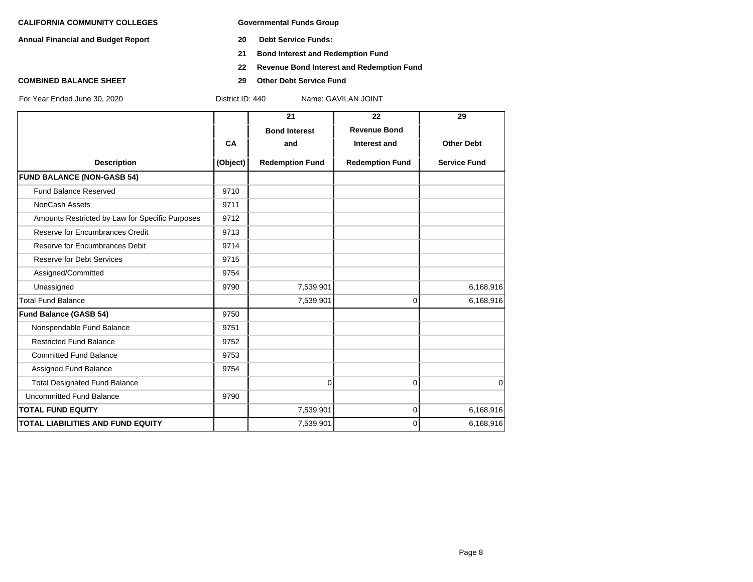**Annual Financial and Budget Report 20 Debt Service Funds:**

- 
- **21 Bond Interest and Redemption Fund**
- **22 Revenue Bond Interest and Redemption Fund**
- **COMBINED BALANCE SHEET 29 Other Debt Service Fund**

|                                                 |           | 21                     | 22                     | 29                  |
|-------------------------------------------------|-----------|------------------------|------------------------|---------------------|
|                                                 |           | <b>Bond Interest</b>   | <b>Revenue Bond</b>    |                     |
|                                                 | <b>CA</b> | and                    | Interest and           | <b>Other Debt</b>   |
| <b>Description</b>                              | (Object)  | <b>Redemption Fund</b> | <b>Redemption Fund</b> | <b>Service Fund</b> |
| <b>FUND BALANCE (NON-GASB 54)</b>               |           |                        |                        |                     |
| Fund Balance Reserved                           | 9710      |                        |                        |                     |
| NonCash Assets                                  | 9711      |                        |                        |                     |
| Amounts Restricted by Law for Specific Purposes | 9712      |                        |                        |                     |
| Reserve for Encumbrances Credit                 | 9713      |                        |                        |                     |
| Reserve for Encumbrances Debit                  | 9714      |                        |                        |                     |
| <b>Reserve for Debt Services</b>                | 9715      |                        |                        |                     |
| Assigned/Committed                              | 9754      |                        |                        |                     |
| Unassigned                                      | 9790      | 7,539,901              |                        | 6,168,916           |
| <b>Total Fund Balance</b>                       |           | 7,539,901              | 0                      | 6,168,916           |
| <b>Fund Balance (GASB 54)</b>                   | 9750      |                        |                        |                     |
| Nonspendable Fund Balance                       | 9751      |                        |                        |                     |
| <b>Restricted Fund Balance</b>                  | 9752      |                        |                        |                     |
| <b>Committed Fund Balance</b>                   | 9753      |                        |                        |                     |
| Assigned Fund Balance                           | 9754      |                        |                        |                     |
| <b>Total Designated Fund Balance</b>            |           | 0                      | $\Omega$               | $\mathbf 0$         |
| Uncommitted Fund Balance                        | 9790      |                        |                        |                     |
| <b>TOTAL FUND EQUITY</b>                        |           | 7,539,901              | 0                      | 6,168,916           |
| <b>TOTAL LIABILITIES AND FUND EQUITY</b>        |           | 7,539,901              | $\Omega$               | 6,168,916           |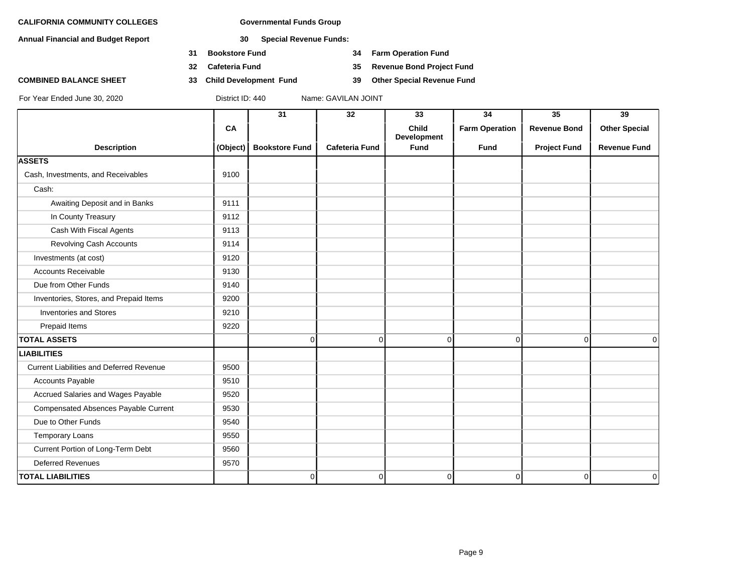**Annual Financial and Budget Report 30 Special Revenue Funds:**

- **31 Bookstore Fund 34 Farm Operation Fund**
- 
- **COMBINED BALANCE SHEET 33 Child Development Fund 39 Other Special Revenue Fund**

**32 Cafeteria Fund 35 Revenue Bond Project Fund**

|                                                 |           | 31                    | 32                    | 33                                 | 34                    | $\overline{35}$     | 39                   |
|-------------------------------------------------|-----------|-----------------------|-----------------------|------------------------------------|-----------------------|---------------------|----------------------|
|                                                 | <b>CA</b> |                       |                       | <b>Child</b><br><b>Development</b> | <b>Farm Operation</b> | <b>Revenue Bond</b> | <b>Other Special</b> |
| <b>Description</b>                              | (Object)  | <b>Bookstore Fund</b> | <b>Cafeteria Fund</b> | <b>Fund</b>                        | <b>Fund</b>           | <b>Project Fund</b> | <b>Revenue Fund</b>  |
| <b>ASSETS</b>                                   |           |                       |                       |                                    |                       |                     |                      |
| Cash, Investments, and Receivables              | 9100      |                       |                       |                                    |                       |                     |                      |
| Cash:                                           |           |                       |                       |                                    |                       |                     |                      |
| Awaiting Deposit and in Banks                   | 9111      |                       |                       |                                    |                       |                     |                      |
| In County Treasury                              | 9112      |                       |                       |                                    |                       |                     |                      |
| Cash With Fiscal Agents                         | 9113      |                       |                       |                                    |                       |                     |                      |
| Revolving Cash Accounts                         | 9114      |                       |                       |                                    |                       |                     |                      |
| Investments (at cost)                           | 9120      |                       |                       |                                    |                       |                     |                      |
| <b>Accounts Receivable</b>                      | 9130      |                       |                       |                                    |                       |                     |                      |
| Due from Other Funds                            | 9140      |                       |                       |                                    |                       |                     |                      |
| Inventories, Stores, and Prepaid Items          | 9200      |                       |                       |                                    |                       |                     |                      |
| <b>Inventories and Stores</b>                   | 9210      |                       |                       |                                    |                       |                     |                      |
| Prepaid Items                                   | 9220      |                       |                       |                                    |                       |                     |                      |
| <b>TOTAL ASSETS</b>                             |           | 0                     | $\overline{0}$        | 0                                  | 0                     | $\Omega$            | 0                    |
| <b>LIABILITIES</b>                              |           |                       |                       |                                    |                       |                     |                      |
| <b>Current Liabilities and Deferred Revenue</b> | 9500      |                       |                       |                                    |                       |                     |                      |
| <b>Accounts Payable</b>                         | 9510      |                       |                       |                                    |                       |                     |                      |
| Accrued Salaries and Wages Payable              | 9520      |                       |                       |                                    |                       |                     |                      |
| <b>Compensated Absences Payable Current</b>     | 9530      |                       |                       |                                    |                       |                     |                      |
| Due to Other Funds                              | 9540      |                       |                       |                                    |                       |                     |                      |
| <b>Temporary Loans</b>                          | 9550      |                       |                       |                                    |                       |                     |                      |
| Current Portion of Long-Term Debt               | 9560      |                       |                       |                                    |                       |                     |                      |
| <b>Deferred Revenues</b>                        | 9570      |                       |                       |                                    |                       |                     |                      |
| <b>TOTAL LIABILITIES</b>                        |           | 0                     | $\overline{0}$        | 0                                  | 0                     | $\overline{0}$      | 0                    |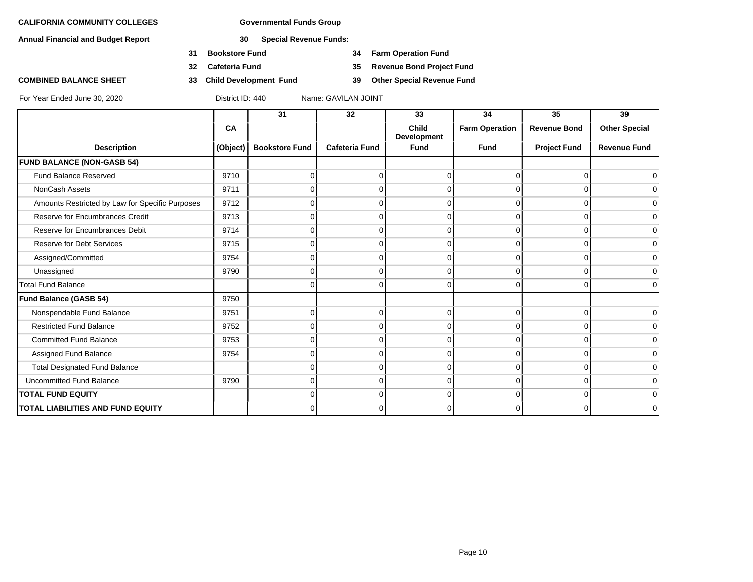**Annual Financial and Budget Report 30 Special Revenue Funds:**

- **31 Bookstore Fund 34 Farm Operation Fund**
- 
- **COMBINED BALANCE SHEET 33 Child Development Fund 39 Other Special Revenue Fund**

**32 Cafeteria Fund 35 Revenue Bond Project Fund**

|                                                 |          | 31                    | 32                    | 33                                 | 34                    | 35                  | 39                   |
|-------------------------------------------------|----------|-----------------------|-----------------------|------------------------------------|-----------------------|---------------------|----------------------|
|                                                 | CA       |                       |                       | <b>Child</b><br><b>Development</b> | <b>Farm Operation</b> | <b>Revenue Bond</b> | <b>Other Special</b> |
| <b>Description</b>                              | (Object) | <b>Bookstore Fund</b> | <b>Cafeteria Fund</b> | <b>Fund</b>                        | <b>Fund</b>           | <b>Project Fund</b> | <b>Revenue Fund</b>  |
| <b>FUND BALANCE (NON-GASB 54)</b>               |          |                       |                       |                                    |                       |                     |                      |
| <b>Fund Balance Reserved</b>                    | 9710     | n                     | 0                     | <sup>0</sup>                       | ŋ                     | <sup>n</sup>        | 0                    |
| NonCash Assets                                  | 9711     |                       | 0                     |                                    |                       |                     | 0                    |
| Amounts Restricted by Law for Specific Purposes | 9712     |                       | n                     |                                    |                       |                     | 0                    |
| Reserve for Encumbrances Credit                 | 9713     |                       | 0                     | 0                                  | ∩                     | $\Omega$            | $\mathbf 0$          |
| Reserve for Encumbrances Debit                  | 9714     |                       | $\Omega$              | 0                                  | O                     | $\Omega$            | 0                    |
| <b>Reserve for Debt Services</b>                | 9715     |                       | n                     | ∩                                  |                       |                     | 0                    |
| Assigned/Committed                              | 9754     |                       | 0                     | $\Omega$                           | $\Omega$              | $\Omega$            | $\mathbf 0$          |
| Unassigned                                      | 9790     | 0                     | $\Omega$              | 0                                  | $\Omega$              | $\Omega$            | 0                    |
| <b>Total Fund Balance</b>                       |          |                       | 0                     | ∩                                  | $\Omega$              | $\cap$              | 0                    |
| <b>Fund Balance (GASB 54)</b>                   | 9750     |                       |                       |                                    |                       |                     |                      |
| Nonspendable Fund Balance                       | 9751     | O                     | $\Omega$              | $\Omega$                           | 0                     | $\Omega$            | 0                    |
| <b>Restricted Fund Balance</b>                  | 9752     |                       | ∩                     |                                    |                       |                     | 0                    |
| <b>Committed Fund Balance</b>                   | 9753     |                       | 0                     |                                    |                       |                     | 0                    |
| Assigned Fund Balance                           | 9754     | n                     | $\Omega$              | 0                                  | O                     | $\Omega$            | 0                    |
| <b>Total Designated Fund Balance</b>            |          |                       | n                     |                                    |                       |                     | 0                    |
| <b>Uncommitted Fund Balance</b>                 | 9790     |                       | 0                     | 0                                  | $\Omega$              | U                   | 0                    |
| <b>TOTAL FUND EQUITY</b>                        |          | 0                     | $\Omega$              | 0                                  | 0                     | $\Omega$            | 0                    |
| <b>TOTAL LIABILITIES AND FUND EQUITY</b>        |          |                       | 0                     | 0                                  |                       |                     | 0                    |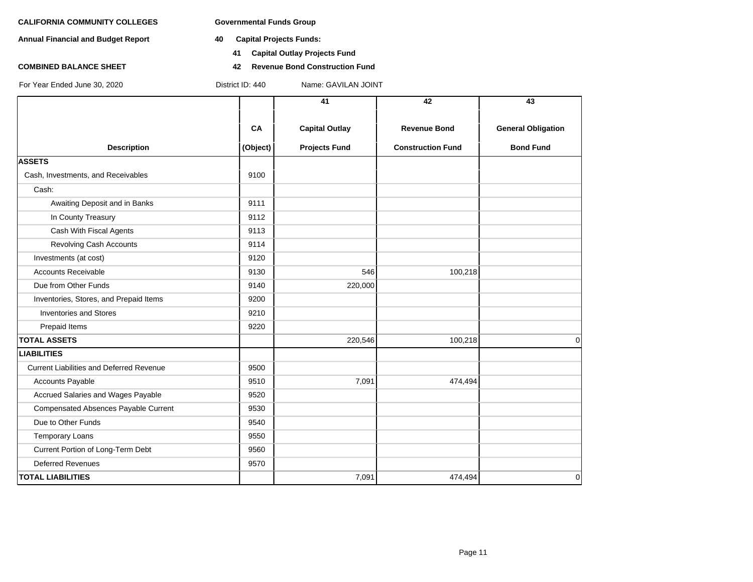**Annual Financial and Budget Report 40 Capital Projects Funds:**

For Year Ended June 30, 2020 District ID: 440 Name: GAVILAN JOINT

- - **41 Capital Outlay Projects Fund**
- **COMBINED BALANCE SHEET 42 Revenue Bond Construction Fund**

|                                                 |          | 41                    | 42                       | 43                        |
|-------------------------------------------------|----------|-----------------------|--------------------------|---------------------------|
|                                                 | CA       | <b>Capital Outlay</b> | <b>Revenue Bond</b>      | <b>General Obligation</b> |
| <b>Description</b>                              | (Object) | <b>Projects Fund</b>  | <b>Construction Fund</b> | <b>Bond Fund</b>          |
| <b>ASSETS</b>                                   |          |                       |                          |                           |
| Cash, Investments, and Receivables              | 9100     |                       |                          |                           |
| Cash:                                           |          |                       |                          |                           |
| Awaiting Deposit and in Banks                   | 9111     |                       |                          |                           |
| In County Treasury                              | 9112     |                       |                          |                           |
| Cash With Fiscal Agents                         | 9113     |                       |                          |                           |
| Revolving Cash Accounts                         | 9114     |                       |                          |                           |
| Investments (at cost)                           | 9120     |                       |                          |                           |
| <b>Accounts Receivable</b>                      | 9130     | 546                   | 100,218                  |                           |
| Due from Other Funds                            | 9140     | 220,000               |                          |                           |
| Inventories, Stores, and Prepaid Items          | 9200     |                       |                          |                           |
| <b>Inventories and Stores</b>                   | 9210     |                       |                          |                           |
| Prepaid Items                                   | 9220     |                       |                          |                           |
| <b>TOTAL ASSETS</b>                             |          | 220,546               | 100,218                  | $\Omega$                  |
| <b>LIABILITIES</b>                              |          |                       |                          |                           |
| <b>Current Liabilities and Deferred Revenue</b> | 9500     |                       |                          |                           |
| <b>Accounts Payable</b>                         | 9510     | 7,091                 | 474,494                  |                           |
| Accrued Salaries and Wages Payable              | 9520     |                       |                          |                           |
| Compensated Absences Payable Current            | 9530     |                       |                          |                           |
| Due to Other Funds                              | 9540     |                       |                          |                           |
| <b>Temporary Loans</b>                          | 9550     |                       |                          |                           |
| Current Portion of Long-Term Debt               | 9560     |                       |                          |                           |
| <b>Deferred Revenues</b>                        | 9570     |                       |                          |                           |
| <b>TOTAL LIABILITIES</b>                        |          | 7,091                 | 474,494                  | $\mathbf 0$               |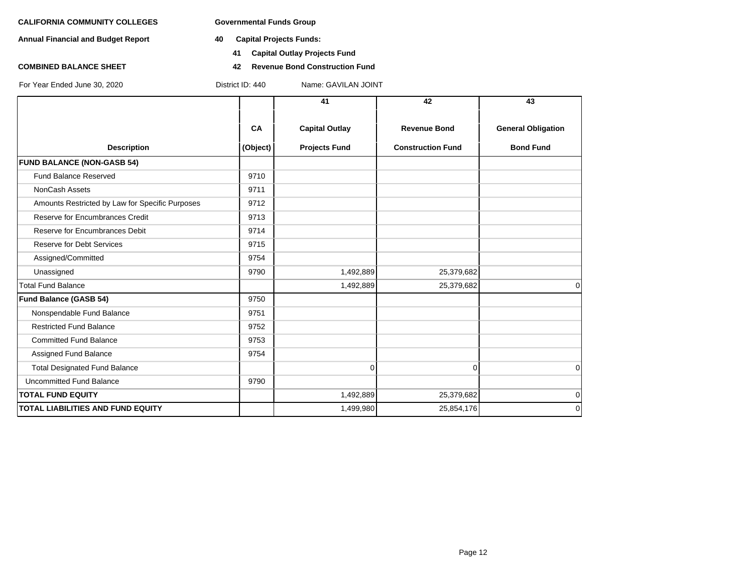**Annual Financial and Budget Report 40 Capital Projects Funds:**

- - **41 Capital Outlay Projects Fund**
- **COMBINED BALANCE SHEET 42 Revenue Bond Construction Fund**

|                                                 |          | 41                    | 42                       | 43                        |
|-------------------------------------------------|----------|-----------------------|--------------------------|---------------------------|
|                                                 | CA       | <b>Capital Outlay</b> | <b>Revenue Bond</b>      | <b>General Obligation</b> |
| <b>Description</b>                              | (Object) | <b>Projects Fund</b>  | <b>Construction Fund</b> | <b>Bond Fund</b>          |
| <b>FUND BALANCE (NON-GASB 54)</b>               |          |                       |                          |                           |
| <b>Fund Balance Reserved</b>                    | 9710     |                       |                          |                           |
| NonCash Assets                                  | 9711     |                       |                          |                           |
| Amounts Restricted by Law for Specific Purposes | 9712     |                       |                          |                           |
| Reserve for Encumbrances Credit                 | 9713     |                       |                          |                           |
| Reserve for Encumbrances Debit                  | 9714     |                       |                          |                           |
| <b>Reserve for Debt Services</b>                | 9715     |                       |                          |                           |
| Assigned/Committed                              | 9754     |                       |                          |                           |
| Unassigned                                      | 9790     | 1,492,889             | 25,379,682               |                           |
| <b>Total Fund Balance</b>                       |          | 1,492,889             | 25,379,682               | 0                         |
| Fund Balance (GASB 54)                          | 9750     |                       |                          |                           |
| Nonspendable Fund Balance                       | 9751     |                       |                          |                           |
| <b>Restricted Fund Balance</b>                  | 9752     |                       |                          |                           |
| <b>Committed Fund Balance</b>                   | 9753     |                       |                          |                           |
| Assigned Fund Balance                           | 9754     |                       |                          |                           |
| <b>Total Designated Fund Balance</b>            |          | $\Omega$              | $\Omega$                 | $\Omega$                  |
| <b>Uncommitted Fund Balance</b>                 | 9790     |                       |                          |                           |
| <b>TOTAL FUND EQUITY</b>                        |          | 1,492,889             | 25,379,682               | $\mathbf 0$               |
| TOTAL LIABILITIES AND FUND EQUITY               |          | 1,499,980             | 25,854,176               | $\mathbf 0$               |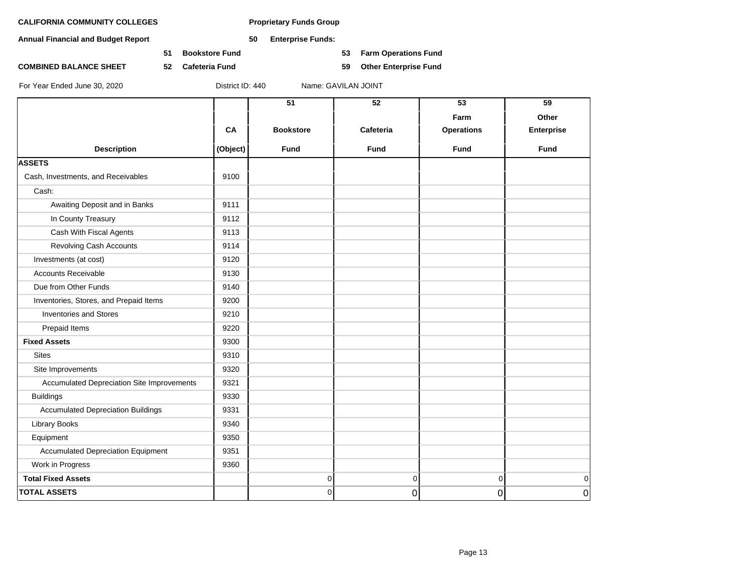**Annual Financial and Budget Report 50 Enterprise Funds:**

**51 Bookstore Fund 53 Farm Operations Fund**

**COMBINED BALANCE SHEET 52 Cafeteria Fund 59 Other Enterprise Fund**

|                                            |          | 51               | $\overline{52}$ | 53                | 59                |
|--------------------------------------------|----------|------------------|-----------------|-------------------|-------------------|
|                                            |          |                  |                 | Farm              | Other             |
|                                            | CA       | <b>Bookstore</b> | Cafeteria       | <b>Operations</b> | <b>Enterprise</b> |
| <b>Description</b>                         | (Object) | <b>Fund</b>      | <b>Fund</b>     | <b>Fund</b>       | <b>Fund</b>       |
| <b>ASSETS</b>                              |          |                  |                 |                   |                   |
| Cash, Investments, and Receivables         | 9100     |                  |                 |                   |                   |
| Cash:                                      |          |                  |                 |                   |                   |
| Awaiting Deposit and in Banks              | 9111     |                  |                 |                   |                   |
| In County Treasury                         | 9112     |                  |                 |                   |                   |
| Cash With Fiscal Agents                    | 9113     |                  |                 |                   |                   |
| <b>Revolving Cash Accounts</b>             | 9114     |                  |                 |                   |                   |
| Investments (at cost)                      | 9120     |                  |                 |                   |                   |
| <b>Accounts Receivable</b>                 | 9130     |                  |                 |                   |                   |
| Due from Other Funds                       | 9140     |                  |                 |                   |                   |
| Inventories, Stores, and Prepaid Items     | 9200     |                  |                 |                   |                   |
| <b>Inventories and Stores</b>              | 9210     |                  |                 |                   |                   |
| Prepaid Items                              | 9220     |                  |                 |                   |                   |
| <b>Fixed Assets</b>                        | 9300     |                  |                 |                   |                   |
| <b>Sites</b>                               | 9310     |                  |                 |                   |                   |
| Site Improvements                          | 9320     |                  |                 |                   |                   |
| Accumulated Depreciation Site Improvements | 9321     |                  |                 |                   |                   |
| <b>Buildings</b>                           | 9330     |                  |                 |                   |                   |
| <b>Accumulated Depreciation Buildings</b>  | 9331     |                  |                 |                   |                   |
| <b>Library Books</b>                       | 9340     |                  |                 |                   |                   |
| Equipment                                  | 9350     |                  |                 |                   |                   |
| <b>Accumulated Depreciation Equipment</b>  | 9351     |                  |                 |                   |                   |
| Work in Progress                           | 9360     |                  |                 |                   |                   |
| <b>Total Fixed Assets</b>                  |          | 0                | $\mathbf 0$     | $\Omega$          | $\mathbf 0$       |
| <b>TOTAL ASSETS</b>                        |          | 0                | 0               | 0                 | $\mathbf 0$       |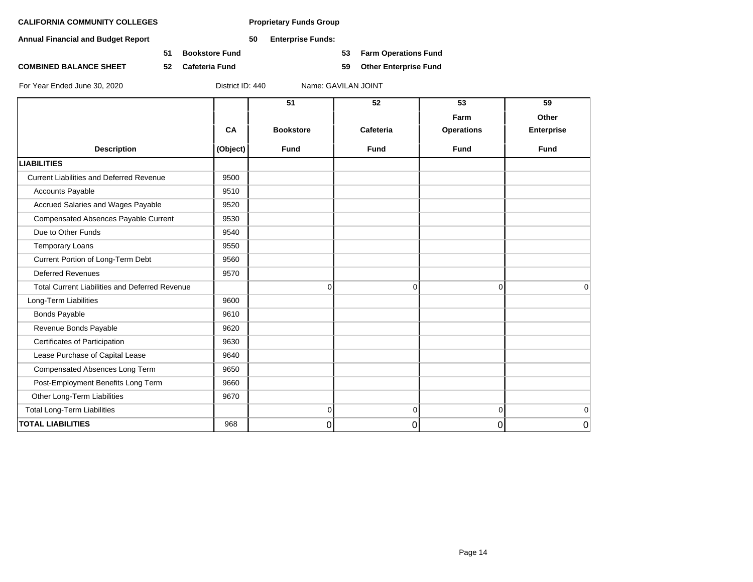**Annual Financial and Budget Report 50 Enterprise Funds:**

**51 Bookstore Fund 53 Farm Operations Fund**

**COMBINED BALANCE SHEET 52 Cafeteria Fund 59 Other Enterprise Fund**

|                                                       |          | 51               | 52          | 53                | 59                |
|-------------------------------------------------------|----------|------------------|-------------|-------------------|-------------------|
|                                                       |          |                  |             | Farm              | Other             |
|                                                       | CA       | <b>Bookstore</b> | Cafeteria   | <b>Operations</b> | <b>Enterprise</b> |
| <b>Description</b>                                    | (Object) | <b>Fund</b>      | <b>Fund</b> | <b>Fund</b>       | <b>Fund</b>       |
| <b>LIABILITIES</b>                                    |          |                  |             |                   |                   |
| <b>Current Liabilities and Deferred Revenue</b>       | 9500     |                  |             |                   |                   |
| <b>Accounts Payable</b>                               | 9510     |                  |             |                   |                   |
| Accrued Salaries and Wages Payable                    | 9520     |                  |             |                   |                   |
| Compensated Absences Payable Current                  | 9530     |                  |             |                   |                   |
| Due to Other Funds                                    | 9540     |                  |             |                   |                   |
| Temporary Loans                                       | 9550     |                  |             |                   |                   |
| Current Portion of Long-Term Debt                     | 9560     |                  |             |                   |                   |
| <b>Deferred Revenues</b>                              | 9570     |                  |             |                   |                   |
| <b>Total Current Liabilities and Deferred Revenue</b> |          | 0                | 0           | $\overline{0}$    | $\Omega$          |
| Long-Term Liabilities                                 | 9600     |                  |             |                   |                   |
| <b>Bonds Payable</b>                                  | 9610     |                  |             |                   |                   |
| Revenue Bonds Payable                                 | 9620     |                  |             |                   |                   |
| Certificates of Participation                         | 9630     |                  |             |                   |                   |
| Lease Purchase of Capital Lease                       | 9640     |                  |             |                   |                   |
| Compensated Absences Long Term                        | 9650     |                  |             |                   |                   |
| Post-Employment Benefits Long Term                    | 9660     |                  |             |                   |                   |
| Other Long-Term Liabilities                           | 9670     |                  |             |                   |                   |
| <b>Total Long-Term Liabilities</b>                    |          | 0                | 0           | $\Omega$          | $\mathbf 0$       |
| <b>TOTAL LIABILITIES</b>                              | 968      | 0                | 0           | 0                 | 0                 |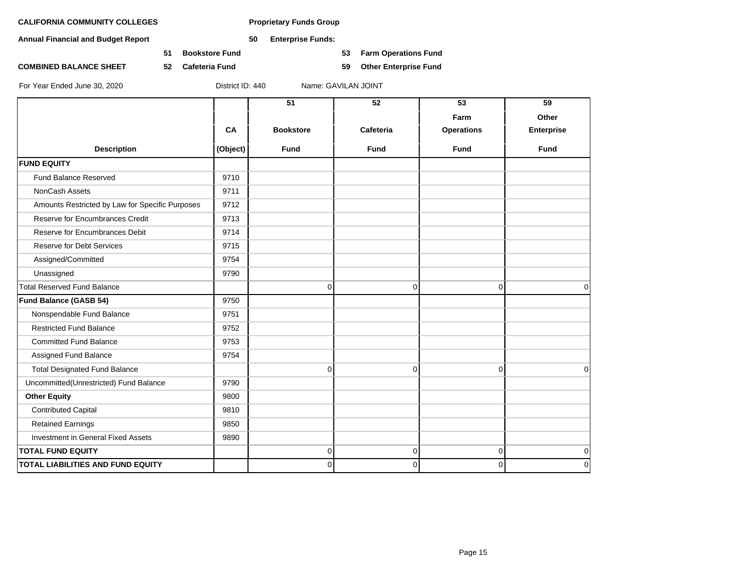**Annual Financial and Budget Report 50 Enterprise Funds:**

**51 Bookstore Fund 53 Farm Operations Fund**

**COMBINED BALANCE SHEET 52 Cafeteria Fund 59 Other Enterprise Fund**

|                                                 |          | 51               | 52          | 53                | 59                |
|-------------------------------------------------|----------|------------------|-------------|-------------------|-------------------|
|                                                 |          |                  |             | Farm              | Other             |
|                                                 | CA       | <b>Bookstore</b> | Cafeteria   | <b>Operations</b> | <b>Enterprise</b> |
| <b>Description</b>                              | (Object) | <b>Fund</b>      | <b>Fund</b> | <b>Fund</b>       | <b>Fund</b>       |
| <b>FUND EQUITY</b>                              |          |                  |             |                   |                   |
| <b>Fund Balance Reserved</b>                    | 9710     |                  |             |                   |                   |
| <b>NonCash Assets</b>                           | 9711     |                  |             |                   |                   |
| Amounts Restricted by Law for Specific Purposes | 9712     |                  |             |                   |                   |
| Reserve for Encumbrances Credit                 | 9713     |                  |             |                   |                   |
| Reserve for Encumbrances Debit                  | 9714     |                  |             |                   |                   |
| <b>Reserve for Debt Services</b>                | 9715     |                  |             |                   |                   |
| Assigned/Committed                              | 9754     |                  |             |                   |                   |
| Unassigned                                      | 9790     |                  |             |                   |                   |
| <b>Total Reserved Fund Balance</b>              |          | 0                | 0           | $\overline{0}$    | $\mathbf 0$       |
| <b>Fund Balance (GASB 54)</b>                   | 9750     |                  |             |                   |                   |
| Nonspendable Fund Balance                       | 9751     |                  |             |                   |                   |
| <b>Restricted Fund Balance</b>                  | 9752     |                  |             |                   |                   |
| <b>Committed Fund Balance</b>                   | 9753     |                  |             |                   |                   |
| Assigned Fund Balance                           | 9754     |                  |             |                   |                   |
| <b>Total Designated Fund Balance</b>            |          | 0                | $\mathbf 0$ | $\Omega$          | $\mathbf 0$       |
| Uncommitted(Unrestricted) Fund Balance          | 9790     |                  |             |                   |                   |
| <b>Other Equity</b>                             | 9800     |                  |             |                   |                   |
| <b>Contributed Capital</b>                      | 9810     |                  |             |                   |                   |
| <b>Retained Earnings</b>                        | 9850     |                  |             |                   |                   |
| Investment in General Fixed Assets              | 9890     |                  |             |                   |                   |
| <b>TOTAL FUND EQUITY</b>                        |          | 0                | $\mathbf 0$ | $\overline{0}$    | $\mathbf 0$       |
| <b>TOTAL LIABILITIES AND FUND EQUITY</b>        |          | 0                | $\Omega$    | $\Omega$          | $\mathbf 0$       |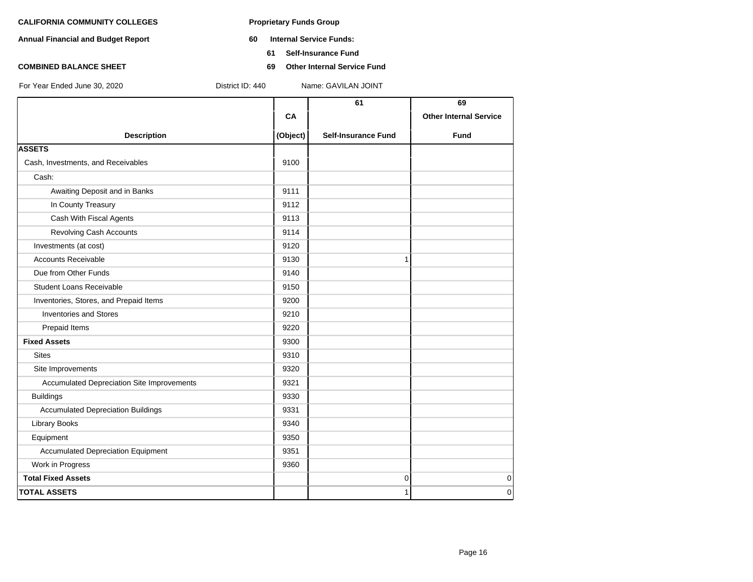- **Annual Financial and Budget Report 60 Internal Service Funds:**
	- **61 Self-Insurance Fund**
- **COMBINED BALANCE SHEET 69 Other Internal Service Fund**

|          | 61                         | 69                            |
|----------|----------------------------|-------------------------------|
| CA       |                            | <b>Other Internal Service</b> |
| (Object) | <b>Self-Insurance Fund</b> | Fund                          |
|          |                            |                               |
| 9100     |                            |                               |
|          |                            |                               |
| 9111     |                            |                               |
| 9112     |                            |                               |
| 9113     |                            |                               |
| 9114     |                            |                               |
| 9120     |                            |                               |
| 9130     | 1                          |                               |
| 9140     |                            |                               |
| 9150     |                            |                               |
| 9200     |                            |                               |
| 9210     |                            |                               |
| 9220     |                            |                               |
| 9300     |                            |                               |
| 9310     |                            |                               |
| 9320     |                            |                               |
| 9321     |                            |                               |
| 9330     |                            |                               |
| 9331     |                            |                               |
| 9340     |                            |                               |
| 9350     |                            |                               |
| 9351     |                            |                               |
| 9360     |                            |                               |
|          | $\pmb{0}$                  | $\mathbf 0$                   |
|          | 1                          | $\Omega$                      |
|          |                            |                               |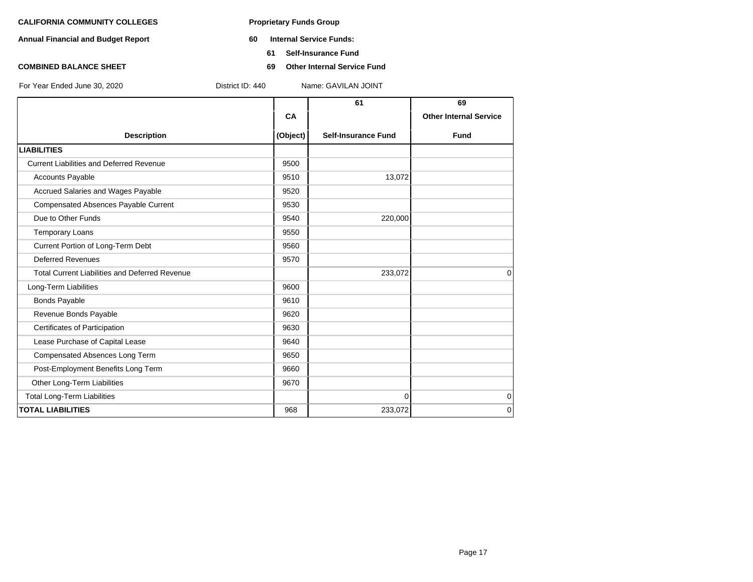- **Annual Financial and Budget Report 60 Internal Service Funds:**
	- **61 Self-Insurance Fund**
- **COMBINED BALANCE SHEET 69 Other Internal Service Fund**

|                                                       |          | 61                         | 69                            |
|-------------------------------------------------------|----------|----------------------------|-------------------------------|
|                                                       | CA       |                            | <b>Other Internal Service</b> |
| <b>Description</b>                                    | (Object) | <b>Self-Insurance Fund</b> | <b>Fund</b>                   |
| <b>LIABILITIES</b>                                    |          |                            |                               |
| <b>Current Liabilities and Deferred Revenue</b>       | 9500     |                            |                               |
| <b>Accounts Payable</b>                               | 9510     | 13,072                     |                               |
| Accrued Salaries and Wages Payable                    | 9520     |                            |                               |
| Compensated Absences Payable Current                  | 9530     |                            |                               |
| Due to Other Funds                                    | 9540     | 220,000                    |                               |
| <b>Temporary Loans</b>                                | 9550     |                            |                               |
| Current Portion of Long-Term Debt                     | 9560     |                            |                               |
| <b>Deferred Revenues</b>                              | 9570     |                            |                               |
| <b>Total Current Liabilities and Deferred Revenue</b> |          | 233,072                    | $\Omega$                      |
| Long-Term Liabilities                                 | 9600     |                            |                               |
| <b>Bonds Payable</b>                                  | 9610     |                            |                               |
| Revenue Bonds Payable                                 | 9620     |                            |                               |
| Certificates of Participation                         | 9630     |                            |                               |
| Lease Purchase of Capital Lease                       | 9640     |                            |                               |
| Compensated Absences Long Term                        | 9650     |                            |                               |
| Post-Employment Benefits Long Term                    | 9660     |                            |                               |
| Other Long-Term Liabilities                           | 9670     |                            |                               |
| <b>Total Long-Term Liabilities</b>                    |          | $\Omega$                   | $\mathbf 0$                   |
| <b>TOTAL LIABILITIES</b>                              | 968      | 233,072                    | $\Omega$                      |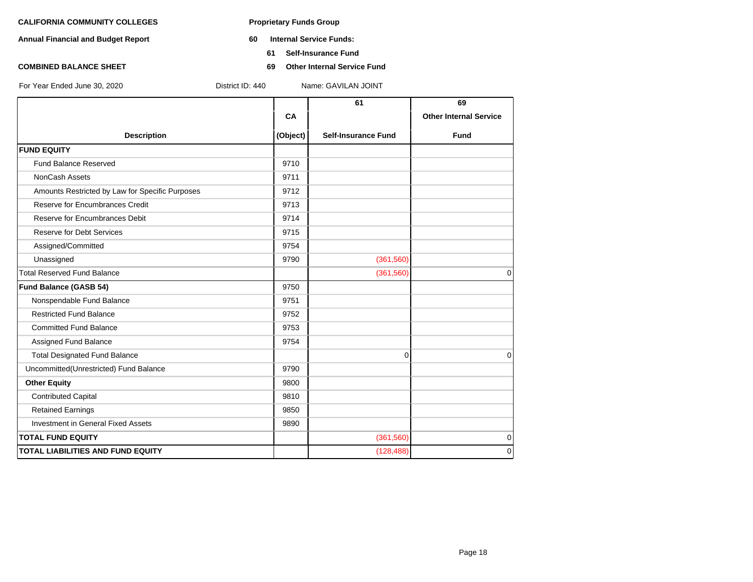- **Annual Financial and Budget Report 60 Internal Service Funds:**
	- **61 Self-Insurance Fund**
- **COMBINED BALANCE SHEET 69 Other Internal Service Fund**

|                                                 |          | 61                         | 69                            |
|-------------------------------------------------|----------|----------------------------|-------------------------------|
|                                                 | CA       |                            | <b>Other Internal Service</b> |
| <b>Description</b>                              | (Object) | <b>Self-Insurance Fund</b> | <b>Fund</b>                   |
| <b>FUND EQUITY</b>                              |          |                            |                               |
| <b>Fund Balance Reserved</b>                    | 9710     |                            |                               |
| NonCash Assets                                  | 9711     |                            |                               |
| Amounts Restricted by Law for Specific Purposes | 9712     |                            |                               |
| Reserve for Encumbrances Credit                 | 9713     |                            |                               |
| Reserve for Encumbrances Debit                  | 9714     |                            |                               |
| <b>Reserve for Debt Services</b>                | 9715     |                            |                               |
| Assigned/Committed                              | 9754     |                            |                               |
| Unassigned                                      | 9790     | (361, 560)                 |                               |
| <b>Total Reserved Fund Balance</b>              |          | (361, 560)                 | $\Omega$                      |
| <b>Fund Balance (GASB 54)</b>                   | 9750     |                            |                               |
| Nonspendable Fund Balance                       | 9751     |                            |                               |
| <b>Restricted Fund Balance</b>                  | 9752     |                            |                               |
| <b>Committed Fund Balance</b>                   | 9753     |                            |                               |
| Assigned Fund Balance                           | 9754     |                            |                               |
| <b>Total Designated Fund Balance</b>            |          | $\mathbf 0$                | 0                             |
| Uncommitted(Unrestricted) Fund Balance          | 9790     |                            |                               |
| <b>Other Equity</b>                             | 9800     |                            |                               |
| <b>Contributed Capital</b>                      | 9810     |                            |                               |
| <b>Retained Earnings</b>                        | 9850     |                            |                               |
| <b>Investment in General Fixed Assets</b>       | 9890     |                            |                               |
| <b>TOTAL FUND EQUITY</b>                        |          | (361, 560)                 | 0                             |
| TOTAL LIABILITIES AND FUND EQUITY               |          | (128, 488)                 | $\Omega$                      |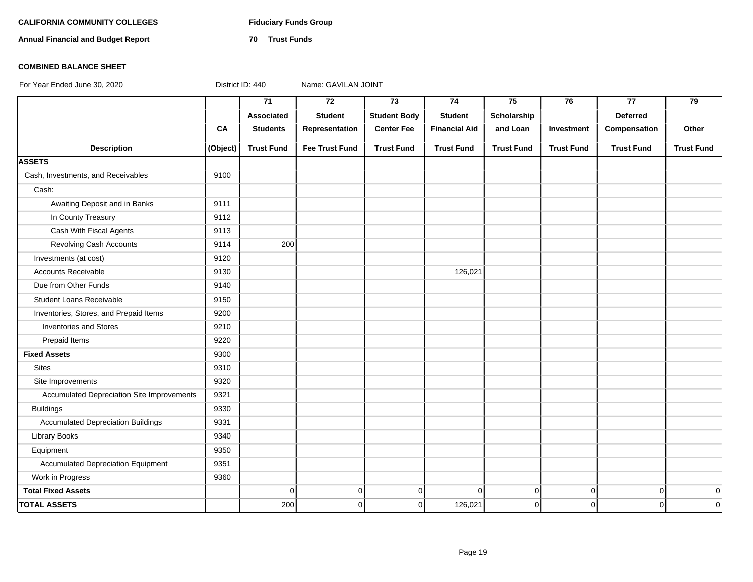# **CALIFORNIA COMMUNITY COLLEGES Fiduciary Funds Group**

**Annual Financial and Budget Report 70 Trust Funds**

### **COMBINED BALANCE SHEET**

|                                            |          | $\overline{71}$   | $\overline{72}$       | 73                  | 74                   | 75                | 76                | 77                | 79                |
|--------------------------------------------|----------|-------------------|-----------------------|---------------------|----------------------|-------------------|-------------------|-------------------|-------------------|
|                                            |          | Associated        | <b>Student</b>        | <b>Student Body</b> | <b>Student</b>       | Scholarship       |                   | <b>Deferred</b>   |                   |
|                                            | CA       | <b>Students</b>   | Representation        | <b>Center Fee</b>   | <b>Financial Aid</b> | and Loan          | Investment        | Compensation      | Other             |
| <b>Description</b>                         | (Object) | <b>Trust Fund</b> | <b>Fee Trust Fund</b> | <b>Trust Fund</b>   | <b>Trust Fund</b>    | <b>Trust Fund</b> | <b>Trust Fund</b> | <b>Trust Fund</b> | <b>Trust Fund</b> |
| <b>ASSETS</b>                              |          |                   |                       |                     |                      |                   |                   |                   |                   |
| Cash, Investments, and Receivables         | 9100     |                   |                       |                     |                      |                   |                   |                   |                   |
| Cash:                                      |          |                   |                       |                     |                      |                   |                   |                   |                   |
| Awaiting Deposit and in Banks              | 9111     |                   |                       |                     |                      |                   |                   |                   |                   |
| In County Treasury                         | 9112     |                   |                       |                     |                      |                   |                   |                   |                   |
| Cash With Fiscal Agents                    | 9113     |                   |                       |                     |                      |                   |                   |                   |                   |
| Revolving Cash Accounts                    | 9114     | 200               |                       |                     |                      |                   |                   |                   |                   |
| Investments (at cost)                      | 9120     |                   |                       |                     |                      |                   |                   |                   |                   |
| <b>Accounts Receivable</b>                 | 9130     |                   |                       |                     | 126,021              |                   |                   |                   |                   |
| Due from Other Funds                       | 9140     |                   |                       |                     |                      |                   |                   |                   |                   |
| Student Loans Receivable                   | 9150     |                   |                       |                     |                      |                   |                   |                   |                   |
| Inventories, Stores, and Prepaid Items     | 9200     |                   |                       |                     |                      |                   |                   |                   |                   |
| <b>Inventories and Stores</b>              | 9210     |                   |                       |                     |                      |                   |                   |                   |                   |
| Prepaid Items                              | 9220     |                   |                       |                     |                      |                   |                   |                   |                   |
| <b>Fixed Assets</b>                        | 9300     |                   |                       |                     |                      |                   |                   |                   |                   |
| <b>Sites</b>                               | 9310     |                   |                       |                     |                      |                   |                   |                   |                   |
| Site Improvements                          | 9320     |                   |                       |                     |                      |                   |                   |                   |                   |
| Accumulated Depreciation Site Improvements | 9321     |                   |                       |                     |                      |                   |                   |                   |                   |
| <b>Buildings</b>                           | 9330     |                   |                       |                     |                      |                   |                   |                   |                   |
| <b>Accumulated Depreciation Buildings</b>  | 9331     |                   |                       |                     |                      |                   |                   |                   |                   |
| <b>Library Books</b>                       | 9340     |                   |                       |                     |                      |                   |                   |                   |                   |
| Equipment                                  | 9350     |                   |                       |                     |                      |                   |                   |                   |                   |
| <b>Accumulated Depreciation Equipment</b>  | 9351     |                   |                       |                     |                      |                   |                   |                   |                   |
| Work in Progress                           | 9360     |                   |                       |                     |                      |                   |                   |                   |                   |
| <b>Total Fixed Assets</b>                  |          | $\mathbf 0$       | $\circ$               | $\mathbf 0$         | $\Omega$             | $\overline{0}$    | $\overline{0}$    | $\overline{0}$    | $\mathbf 0$       |
| <b>TOTAL ASSETS</b>                        |          | 200               | $\mathbf{0}$          | $\mathbf 0$         | 126,021              | $\overline{0}$    | $\overline{0}$    | $\overline{0}$    | $\mathbf 0$       |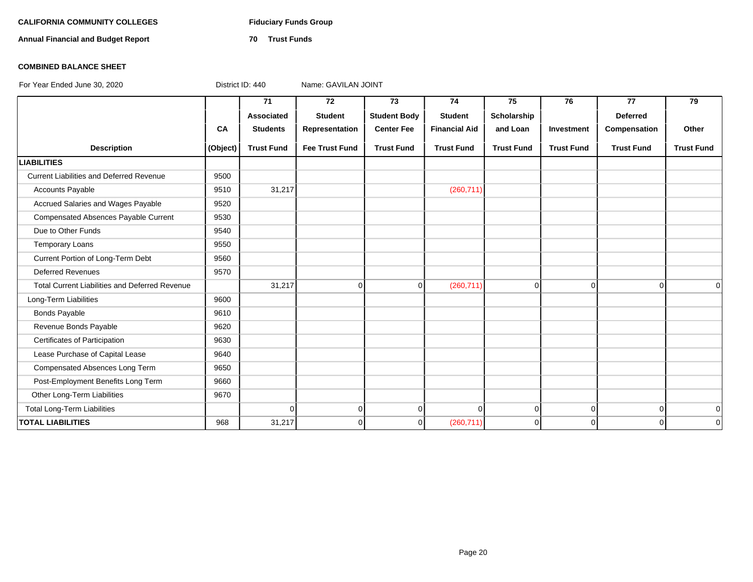# **CALIFORNIA COMMUNITY COLLEGES Fiduciary Funds Group**

**Annual Financial and Budget Report 70 Trust Funds**

### **COMBINED BALANCE SHEET**

|                                                       |          | 71                | 72                    | 73                  | 74                   | 75                | 76                | 77                | 79                |
|-------------------------------------------------------|----------|-------------------|-----------------------|---------------------|----------------------|-------------------|-------------------|-------------------|-------------------|
|                                                       |          | Associated        | <b>Student</b>        | <b>Student Body</b> | <b>Student</b>       | Scholarship       |                   | <b>Deferred</b>   |                   |
|                                                       | CA       | <b>Students</b>   | Representation        | <b>Center Fee</b>   | <b>Financial Aid</b> | and Loan          | Investment        | Compensation      | Other             |
| <b>Description</b>                                    | (Object) | <b>Trust Fund</b> | <b>Fee Trust Fund</b> | <b>Trust Fund</b>   | <b>Trust Fund</b>    | <b>Trust Fund</b> | <b>Trust Fund</b> | <b>Trust Fund</b> | <b>Trust Fund</b> |
| <b>LIABILITIES</b>                                    |          |                   |                       |                     |                      |                   |                   |                   |                   |
| <b>Current Liabilities and Deferred Revenue</b>       | 9500     |                   |                       |                     |                      |                   |                   |                   |                   |
| <b>Accounts Payable</b>                               | 9510     | 31,217            |                       |                     | (260, 711)           |                   |                   |                   |                   |
| Accrued Salaries and Wages Payable                    | 9520     |                   |                       |                     |                      |                   |                   |                   |                   |
| Compensated Absences Payable Current                  | 9530     |                   |                       |                     |                      |                   |                   |                   |                   |
| Due to Other Funds                                    | 9540     |                   |                       |                     |                      |                   |                   |                   |                   |
| <b>Temporary Loans</b>                                | 9550     |                   |                       |                     |                      |                   |                   |                   |                   |
| Current Portion of Long-Term Debt                     | 9560     |                   |                       |                     |                      |                   |                   |                   |                   |
| <b>Deferred Revenues</b>                              | 9570     |                   |                       |                     |                      |                   |                   |                   |                   |
| <b>Total Current Liabilities and Deferred Revenue</b> |          | 31,217            | $\Omega$              | $\mathbf 0$         | (260, 711)           | $\overline{0}$    | $\Omega$          | $\overline{0}$    | $\Omega$          |
| Long-Term Liabilities                                 | 9600     |                   |                       |                     |                      |                   |                   |                   |                   |
| Bonds Payable                                         | 9610     |                   |                       |                     |                      |                   |                   |                   |                   |
| Revenue Bonds Payable                                 | 9620     |                   |                       |                     |                      |                   |                   |                   |                   |
| Certificates of Participation                         | 9630     |                   |                       |                     |                      |                   |                   |                   |                   |
| Lease Purchase of Capital Lease                       | 9640     |                   |                       |                     |                      |                   |                   |                   |                   |
| Compensated Absences Long Term                        | 9650     |                   |                       |                     |                      |                   |                   |                   |                   |
| Post-Employment Benefits Long Term                    | 9660     |                   |                       |                     |                      |                   |                   |                   |                   |
| Other Long-Term Liabilities                           | 9670     |                   |                       |                     |                      |                   |                   |                   |                   |
| <b>Total Long-Term Liabilities</b>                    |          | $\overline{0}$    | $\overline{0}$        | $\mathbf 0$         | 0                    | $\overline{0}$    | $\overline{0}$    | $\overline{0}$    | $\overline{0}$    |
| <b>TOTAL LIABILITIES</b>                              | 968      | 31,217            | $\Omega$              | $\mathbf 0$         | (260, 711)           | $\overline{0}$    | $\overline{0}$    | $\Omega$          | $\overline{0}$    |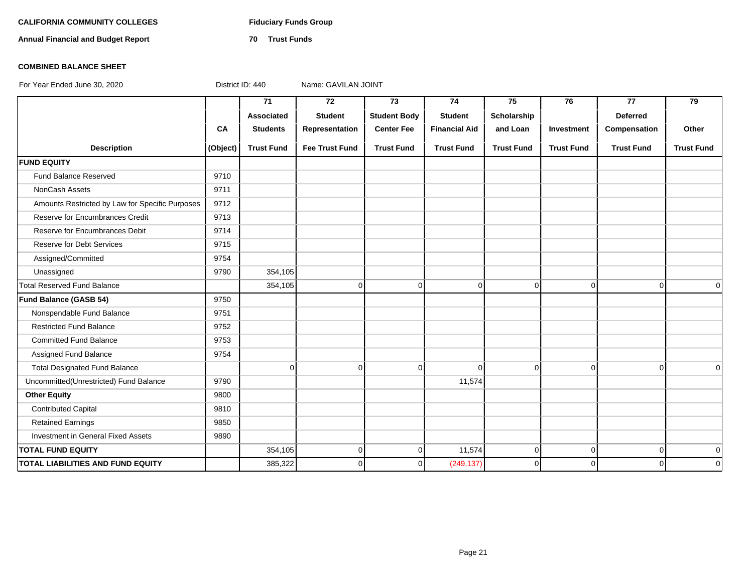# **CALIFORNIA COMMUNITY COLLEGES Fiduciary Funds Group**

**Annual Financial and Budget Report 70 Trust Funds**

# **COMBINED BALANCE SHEET**

|                                                 |          | 71                | 72                    | 73                  | 74                   | 75                | 76                | 77                | 79                |
|-------------------------------------------------|----------|-------------------|-----------------------|---------------------|----------------------|-------------------|-------------------|-------------------|-------------------|
|                                                 |          | Associated        | <b>Student</b>        | <b>Student Body</b> | <b>Student</b>       | Scholarship       |                   | <b>Deferred</b>   |                   |
|                                                 | CA       | <b>Students</b>   | Representation        | <b>Center Fee</b>   | <b>Financial Aid</b> | and Loan          | Investment        | Compensation      | Other             |
| <b>Description</b>                              | (Object) | <b>Trust Fund</b> | <b>Fee Trust Fund</b> | <b>Trust Fund</b>   | <b>Trust Fund</b>    | <b>Trust Fund</b> | <b>Trust Fund</b> | <b>Trust Fund</b> | <b>Trust Fund</b> |
| <b>FUND EQUITY</b>                              |          |                   |                       |                     |                      |                   |                   |                   |                   |
| Fund Balance Reserved                           | 9710     |                   |                       |                     |                      |                   |                   |                   |                   |
| NonCash Assets                                  | 9711     |                   |                       |                     |                      |                   |                   |                   |                   |
| Amounts Restricted by Law for Specific Purposes | 9712     |                   |                       |                     |                      |                   |                   |                   |                   |
| Reserve for Encumbrances Credit                 | 9713     |                   |                       |                     |                      |                   |                   |                   |                   |
| Reserve for Encumbrances Debit                  | 9714     |                   |                       |                     |                      |                   |                   |                   |                   |
| <b>Reserve for Debt Services</b>                | 9715     |                   |                       |                     |                      |                   |                   |                   |                   |
| Assigned/Committed                              | 9754     |                   |                       |                     |                      |                   |                   |                   |                   |
| Unassigned                                      | 9790     | 354,105           |                       |                     |                      |                   |                   |                   |                   |
| <b>Total Reserved Fund Balance</b>              |          | 354,105           | $\overline{0}$        | $\overline{0}$      | 0                    | 0                 | $\overline{0}$    | $\overline{0}$    | $\overline{0}$    |
| Fund Balance (GASB 54)                          | 9750     |                   |                       |                     |                      |                   |                   |                   |                   |
| Nonspendable Fund Balance                       | 9751     |                   |                       |                     |                      |                   |                   |                   |                   |
| <b>Restricted Fund Balance</b>                  | 9752     |                   |                       |                     |                      |                   |                   |                   |                   |
| <b>Committed Fund Balance</b>                   | 9753     |                   |                       |                     |                      |                   |                   |                   |                   |
| Assigned Fund Balance                           | 9754     |                   |                       |                     |                      |                   |                   |                   |                   |
| <b>Total Designated Fund Balance</b>            |          | $\mathbf 0$       | $\overline{0}$        | $\overline{0}$      | $\Omega$             | $\mathbf 0$       | $\overline{0}$    | $\overline{0}$    | $\Omega$          |
| Uncommitted(Unrestricted) Fund Balance          | 9790     |                   |                       |                     | 11,574               |                   |                   |                   |                   |
| <b>Other Equity</b>                             | 9800     |                   |                       |                     |                      |                   |                   |                   |                   |
| <b>Contributed Capital</b>                      | 9810     |                   |                       |                     |                      |                   |                   |                   |                   |
| <b>Retained Earnings</b>                        | 9850     |                   |                       |                     |                      |                   |                   |                   |                   |
| Investment in General Fixed Assets              | 9890     |                   |                       |                     |                      |                   |                   |                   |                   |
| <b>TOTAL FUND EQUITY</b>                        |          | 354,105           | $\overline{0}$        | $\overline{0}$      | 11,574               | $\mathbf 0$       | $\overline{0}$    | $\overline{0}$    | 0                 |
| <b>TOTAL LIABILITIES AND FUND EQUITY</b>        |          | 385,322           | $\overline{0}$        | $\mathbf 0$         | (249, 137)           | 0                 | 0                 | $\Omega$          | $\mathbf 0$       |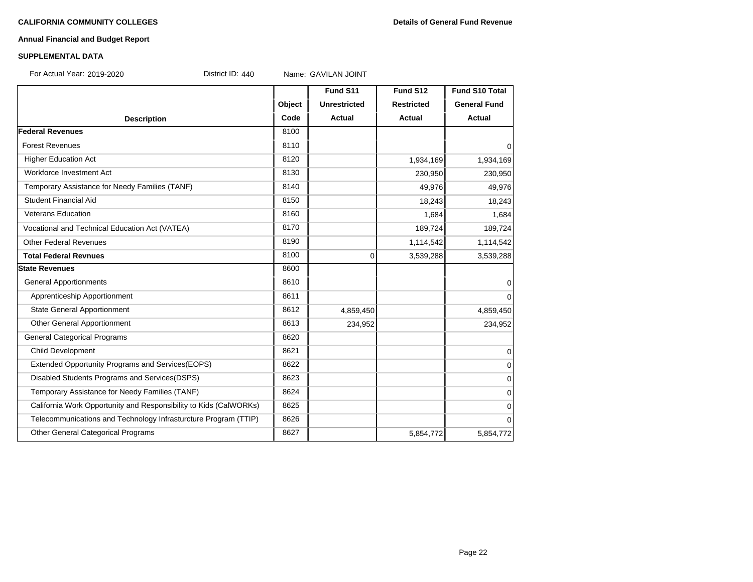#### **Annual Financial and Budget Report**

#### **SUPPLEMENTAL DATA**

For Actual Year: 2019-2020 District ID: 440 Name: GAVILAN JOINT

**Fund S11 Fund S12 Fund S10 Total Object Unrestricted Restricted General Fund Description Code Actual Actual Actual Federal Revenues** 8100 Forest Revenues and the set of the set of the set of the set of the set of the set of the set of the set of the set of the set of the set of the set of the set of the set of the set of the set of the set of the set of the Higher Education Act 1,934,169 1,934,169 1,934,169 1,934,169 1,934,169 1,934,169 1,934,169 1,934,169 1,934,169 Workforce Investment Act 230,950 230,950 230,950 230,950 230,950 230,950 230,950 230,950 230,950 230,950 230,950 230,950 230,950 230,950 230,950 230,950 230,950 230,950 230,950 230,950 230,950 230,950 230,950 230,950 230,9 Temporary Assistance for Needy Families (TANF) 8140 49,976 49,976 49,976 49,976 Student Financial Aid 18.243 18.243 Veterans Education 1,684 1,684 1,684 1,684 1,684 1,684 1,684 1,684 1,684 1,684 1,684 1,684 1,684 1,684 1,684 1,684 1,684 1,684 1,684 1,684 1,684 1,684 1,684 1,684 1,684 1,684 1,684 1,684 1,684 1,684 1,684 1,684 1,684 1,684 Vocational and Technical Education Act (VATEA) 189,724 189,724 189,724 189,724 Other Federal Revenues 21,114,542 1,114,542 1,114,542 1,114,542 **Total Federal Revnues** 8100 **8100** 8100 **0 3,539,288 3,539,288** 3,539,288 **State Revenues** 8600 General Apportionments and the set of the set of the set of the set of the set of the set of the set of the set o Apprenticeship Apportionment and the control of the set of the set of the set of the set of the set of the set o State General Apportionment 1990 1991 1991 1991 1991 1991 1992 1993 1994 1995 1996 1997 1998 1999 1999 1999 19 Other General Apportionment 234,952 234,952 234,952 General Categorical Programs 8620 Child Development 8621 0 Extended Opportunity Programs and Services(EOPS) 8622 0 Disabled Students Programs and Services(DSPS) 8623 0 Temporary Assistance for Needy Families (TANF) 8624 | 8624 | CONSERVERTED ASSISTANCE OF THE OCCUPATION OF THE O California Work Opportunity and Responsibility to Kids (CalWORKs) 8625 0 Telecommunications and Technology Infrasturcture Program (TTIP) 8626 0 Other General Categorical Programs 8627 5,854,772 5,854,772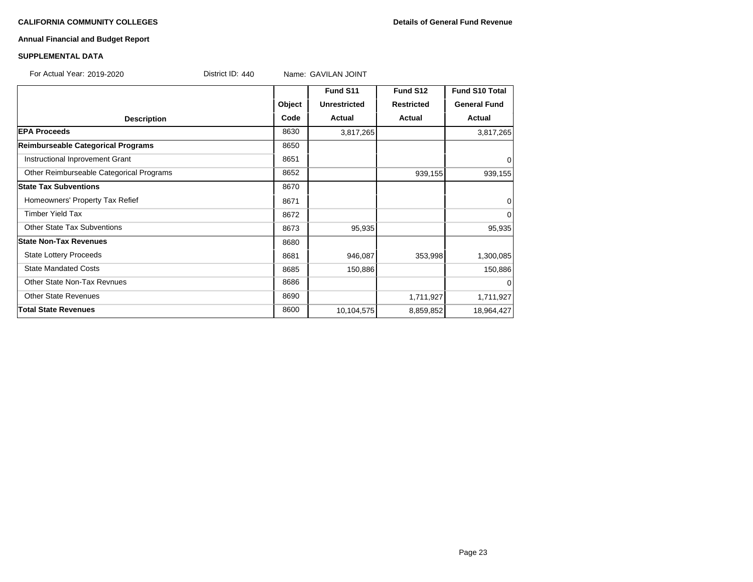#### **CALIFORNIA COMMUNITY COLLEGES Details of General Fund Revenue**

# **Annual Financial and Budget Report**

### **SUPPLEMENTAL DATA**

For Actual Year: 2019-2020 **District ID: 440** Name: GAVILAN JOINT

|                                          |        | Fund S11            | Fund S12          | <b>Fund S10 Total</b> |
|------------------------------------------|--------|---------------------|-------------------|-----------------------|
|                                          | Object | <b>Unrestricted</b> | <b>Restricted</b> | <b>General Fund</b>   |
| <b>Description</b>                       | Code   | Actual              | Actual            | Actual                |
| <b>EPA Proceeds</b>                      | 8630   | 3,817,265           |                   | 3,817,265             |
| Reimburseable Categorical Programs       | 8650   |                     |                   |                       |
| Instructional Inprovement Grant          | 8651   |                     |                   | 0                     |
| Other Reimburseable Categorical Programs | 8652   |                     | 939,155           | 939,155               |
| <b>State Tax Subventions</b>             | 8670   |                     |                   |                       |
| Homeowners' Property Tax Refief          | 8671   |                     |                   | 0                     |
| <b>Timber Yield Tax</b>                  | 8672   |                     |                   | $\mathbf 0$           |
| <b>Other State Tax Subventions</b>       | 8673   | 95,935              |                   | 95,935                |
| <b>State Non-Tax Revenues</b>            | 8680   |                     |                   |                       |
| <b>State Lottery Proceeds</b>            | 8681   | 946,087             | 353,998           | 1,300,085             |
| <b>State Mandated Costs</b>              | 8685   | 150,886             |                   | 150,886               |
| Other State Non-Tax Revnues              | 8686   |                     |                   | $\Omega$              |
| <b>Other State Revenues</b>              | 8690   |                     | 1,711,927         | 1,711,927             |
| <b>Total State Revenues</b>              | 8600   | 10,104,575          | 8,859,852         | 18,964,427            |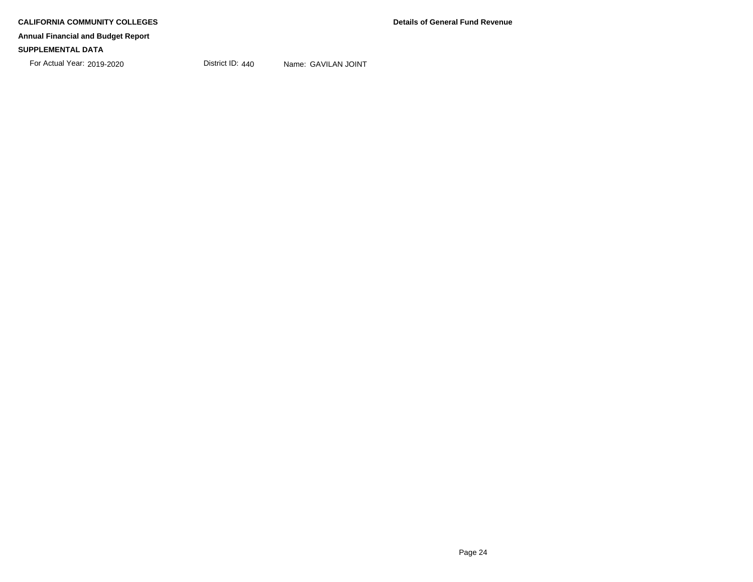For Actual Year: 2019-2020 District ID: 440 Name: GAVILAN JOINT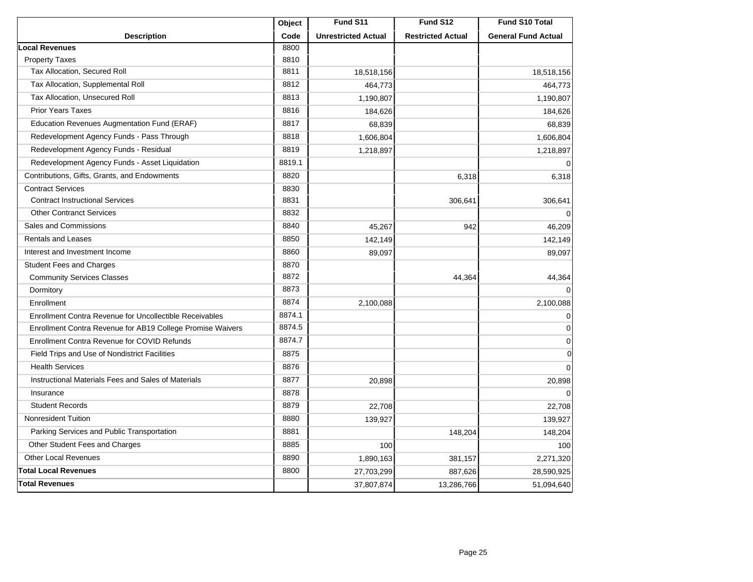|                                                            | Object | Fund S11                   | Fund S12                 | Fund S10 Total             |
|------------------------------------------------------------|--------|----------------------------|--------------------------|----------------------------|
| <b>Description</b>                                         | Code   | <b>Unrestricted Actual</b> | <b>Restricted Actual</b> | <b>General Fund Actual</b> |
| <b>Local Revenues</b>                                      | 8800   |                            |                          |                            |
| <b>Property Taxes</b>                                      | 8810   |                            |                          |                            |
| Tax Allocation, Secured Roll                               | 8811   | 18,518,156                 |                          | 18,518,156                 |
| Tax Allocation, Supplemental Roll                          | 8812   | 464,773                    |                          | 464,773                    |
| Tax Allocation, Unsecured Roll                             | 8813   | 1,190,807                  |                          | 1,190,807                  |
| <b>Prior Years Taxes</b>                                   | 8816   | 184,626                    |                          | 184,626                    |
| Education Revenues Augmentation Fund (ERAF)                | 8817   | 68,839                     |                          | 68,839                     |
| Redevelopment Agency Funds - Pass Through                  | 8818   | 1,606,804                  |                          | 1,606,804                  |
| Redevelopment Agency Funds - Residual                      | 8819   | 1,218,897                  |                          | 1,218,897                  |
| Redevelopment Agency Funds - Asset Liquidation             | 8819.1 |                            |                          | $\Omega$                   |
| Contributions, Gifts, Grants, and Endowments               | 8820   |                            | 6,318                    | 6,318                      |
| <b>Contract Services</b>                                   | 8830   |                            |                          |                            |
| <b>Contract Instructional Services</b>                     | 8831   |                            | 306,641                  | 306,641                    |
| <b>Other Contranct Services</b>                            | 8832   |                            |                          | $\Omega$                   |
| Sales and Commissions                                      | 8840   | 45,267                     | 942                      | 46,209                     |
| <b>Rentals and Leases</b>                                  | 8850   | 142,149                    |                          | 142,149                    |
| Interest and Investment Income                             | 8860   | 89,097                     |                          | 89,097                     |
| <b>Student Fees and Charges</b>                            | 8870   |                            |                          |                            |
| <b>Community Services Classes</b>                          | 8872   |                            | 44,364                   | 44,364                     |
| Dormitory                                                  | 8873   |                            |                          | $\Omega$                   |
| Enrollment                                                 | 8874   | 2,100,088                  |                          | 2,100,088                  |
| Enrollment Contra Revenue for Uncollectible Receivables    | 8874.1 |                            |                          | $\mathbf 0$                |
| Enrollment Contra Revenue for AB19 College Promise Waivers | 8874.5 |                            |                          | $\mathbf 0$                |
| Enrollment Contra Revenue for COVID Refunds                | 8874.7 |                            |                          | $\mathbf 0$                |
| Field Trips and Use of Nondistrict Facilities              | 8875   |                            |                          | $\mathbf 0$                |
| <b>Health Services</b>                                     | 8876   |                            |                          | $\mathbf 0$                |
| Instructional Materials Fees and Sales of Materials        | 8877   | 20,898                     |                          | 20,898                     |
| Insurance                                                  | 8878   |                            |                          | $\Omega$                   |
| <b>Student Records</b>                                     | 8879   | 22,708                     |                          | 22,708                     |
| <b>Nonresident Tuition</b>                                 | 8880   | 139,927                    |                          | 139,927                    |
| Parking Services and Public Transportation                 | 8881   |                            | 148,204                  | 148,204                    |
| Other Student Fees and Charges                             | 8885   | 100                        |                          | 100                        |
| <b>Other Local Revenues</b>                                | 8890   | 1,890,163                  | 381,157                  | 2,271,320                  |
| <b>Total Local Revenues</b>                                | 8800   | 27,703,299                 | 887,626                  | 28,590,925                 |
| <b>Total Revenues</b>                                      |        | 37,807,874                 | 13,286,766               | 51,094,640                 |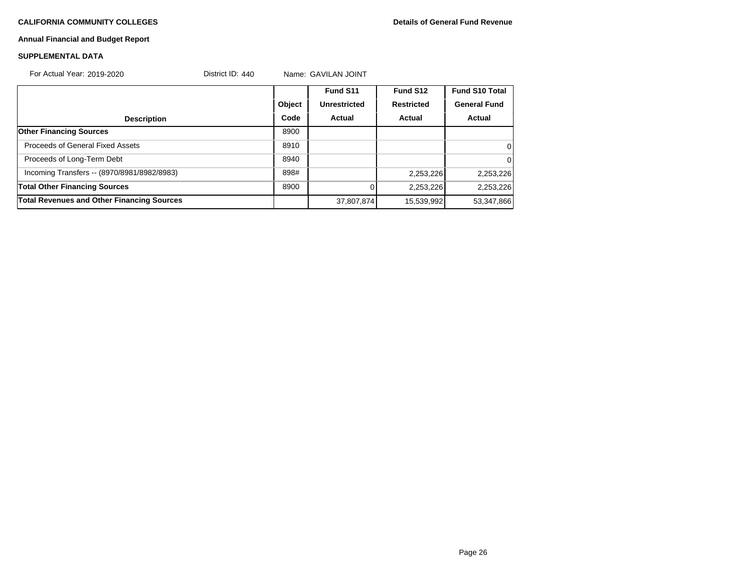# **Annual Financial and Budget Report**

### **SUPPLEMENTAL DATA**

| For Actual Year: 2019-2020                        | District ID: $440$ |        | Name: GAVILAN JOINT |                   |                       |
|---------------------------------------------------|--------------------|--------|---------------------|-------------------|-----------------------|
|                                                   |                    |        | Fund S11            | Fund S12          | <b>Fund S10 Total</b> |
|                                                   |                    | Object | <b>Unrestricted</b> | <b>Restricted</b> | <b>General Fund</b>   |
| <b>Description</b>                                |                    | Code   | Actual              | Actual            | Actual                |
| <b>Other Financing Sources</b>                    |                    | 8900   |                     |                   |                       |
| Proceeds of General Fixed Assets                  |                    | 8910   |                     |                   | $\Omega$              |
| Proceeds of Long-Term Debt                        |                    | 8940   |                     |                   | $\Omega$              |
| Incoming Transfers -- (8970/8981/8982/8983)       |                    | 898#   |                     | 2,253,226         | 2,253,226             |
| <b>Total Other Financing Sources</b>              |                    | 8900   |                     | 2,253,226         | 2,253,226             |
| <b>Total Revenues and Other Financing Sources</b> |                    |        | 37,807,874          | 15,539,992        | 53,347,866            |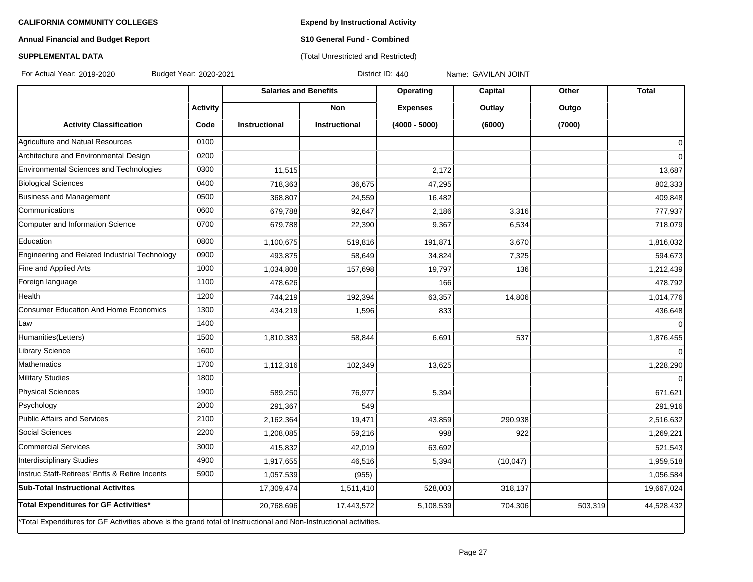**Expend by Instructional Activity**

# **Annual Financial and Budget Report**

# **S10 General Fund - Combined** (Total Unrestricted and Restricted)

# **SUPPLEMENTAL DATA**

For Actual Year: 2019-2020 Budget Year: 2020-2021 District ID: 440 Name: GAVILAN JOINT

|                                                                                                                   |                 | <b>Salaries and Benefits</b> |                      | Operating       | Capital   | Other   | <b>Total</b>   |
|-------------------------------------------------------------------------------------------------------------------|-----------------|------------------------------|----------------------|-----------------|-----------|---------|----------------|
|                                                                                                                   | <b>Activity</b> |                              | <b>Non</b>           | <b>Expenses</b> | Outlay    | Outgo   |                |
| <b>Activity Classification</b>                                                                                    | Code            | <b>Instructional</b>         | <b>Instructional</b> | $(4000 - 5000)$ | (6000)    | (7000)  |                |
| Agriculture and Natual Resources                                                                                  | 0100            |                              |                      |                 |           |         | $\overline{0}$ |
| Architecture and Environmental Design                                                                             | 0200            |                              |                      |                 |           |         | $\overline{0}$ |
| Environmental Sciences and Technologies                                                                           | 0300            | 11,515                       |                      | 2,172           |           |         | 13,687         |
| <b>Biological Sciences</b>                                                                                        | 0400            | 718,363                      | 36,675               | 47,295          |           |         | 802,333        |
| Business and Management                                                                                           | 0500            | 368,807                      | 24,559               | 16,482          |           |         | 409,848        |
| Communications                                                                                                    | 0600            | 679,788                      | 92,647               | 2,186           | 3,316     |         | 777,937        |
| Computer and Information Science                                                                                  | 0700            | 679,788                      | 22,390               | 9,367           | 6,534     |         | 718,079        |
| Education                                                                                                         | 0800            | 1,100,675                    | 519,816              | 191,871         | 3,670     |         | 1,816,032      |
| Engineering and Related Industrial Technology                                                                     | 0900            | 493,875                      | 58,649               | 34,824          | 7,325     |         | 594,673        |
| Fine and Applied Arts                                                                                             | 1000            | 1,034,808                    | 157,698              | 19,797          | 136       |         | 1,212,439      |
| Foreign language                                                                                                  | 1100            | 478,626                      |                      | 166             |           |         | 478,792        |
| Health                                                                                                            | 1200            | 744,219                      | 192,394              | 63,357          | 14,806    |         | 1,014,776      |
| <b>Consumer Education And Home Economics</b>                                                                      | 1300            | 434,219                      | 1,596                | 833             |           |         | 436,648        |
| Law                                                                                                               | 1400            |                              |                      |                 |           |         | $\overline{0}$ |
| Humanities(Letters)                                                                                               | 1500            | 1,810,383                    | 58,844               | 6,691           | 537       |         | 1,876,455      |
| Library Science                                                                                                   | 1600            |                              |                      |                 |           |         | $\overline{0}$ |
| Mathematics                                                                                                       | 1700            | 1,112,316                    | 102,349              | 13,625          |           |         | 1,228,290      |
| Military Studies                                                                                                  | 1800            |                              |                      |                 |           |         | $\overline{0}$ |
| Physical Sciences                                                                                                 | 1900            | 589,250                      | 76,977               | 5,394           |           |         | 671,621        |
| Psychology                                                                                                        | 2000            | 291,367                      | 549                  |                 |           |         | 291,916        |
| Public Affairs and Services                                                                                       | 2100            | 2,162,364                    | 19,471               | 43,859          | 290,938   |         | 2,516,632      |
| Social Sciences                                                                                                   | 2200            | 1,208,085                    | 59,216               | 998             | 922       |         | 1,269,221      |
| Commercial Services                                                                                               | 3000            | 415,832                      | 42,019               | 63,692          |           |         | 521,543        |
| Interdisciplinary Studies                                                                                         | 4900            | 1,917,655                    | 46,516               | 5,394           | (10, 047) |         | 1,959,518      |
| Instruc Staff-Retirees' Bnfts & Retire Incents                                                                    | 5900            | 1,057,539                    | (955)                |                 |           |         | 1,056,584      |
| <b>Sub-Total Instructional Activites</b>                                                                          |                 | 17,309,474                   | 1,511,410            | 528,003         | 318,137   |         | 19,667,024     |
| Total Expenditures for GF Activities*                                                                             |                 | 20,768,696                   | 17,443,572           | 5,108,539       | 704,306   | 503,319 | 44,528,432     |
| *Total Expenditures for GF Activities above is the grand total of Instructional and Non-Instructional activities. |                 |                              |                      |                 |           |         |                |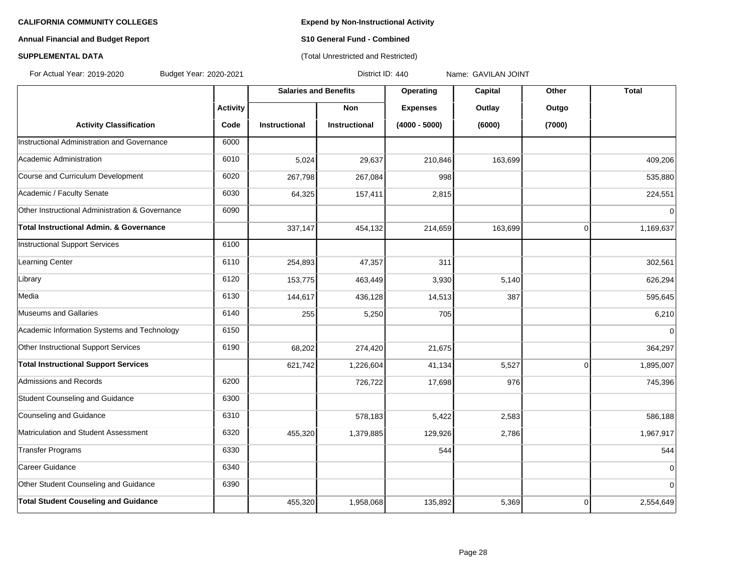# **Annual Financial and Budget Report S10 General Fund - Combined**

# **SUPPLEMENTAL DATA CONSERVATION CONSERVATION** (Total Unrestricted and Restricted)

For Actual Year: 2019-2020 Budget Year: 2020-2021 District ID: 440 Name: GAVILAN JOINT

|                                                 |                 | <b>Salaries and Benefits</b> |                      | Operating       | Capital | Other          | <b>Total</b> |
|-------------------------------------------------|-----------------|------------------------------|----------------------|-----------------|---------|----------------|--------------|
|                                                 | <b>Activity</b> |                              | <b>Non</b>           | <b>Expenses</b> | Outlay  | Outgo          |              |
| <b>Activity Classification</b>                  | Code            | <b>Instructional</b>         | <b>Instructional</b> | $(4000 - 5000)$ | (6000)  | (7000)         |              |
| Instructional Administration and Governance     | 6000            |                              |                      |                 |         |                |              |
| Academic Administration                         | 6010            | 5,024                        | 29,637               | 210,846         | 163,699 |                | 409,206      |
| Course and Curriculum Development               | 6020            | 267,798                      | 267,084              | 998             |         |                | 535,880      |
| Academic / Faculty Senate                       | 6030            | 64,325                       | 157,411              | 2,815           |         |                | 224,551      |
| Other Instructional Administration & Governance | 6090            |                              |                      |                 |         |                | $\Omega$     |
| Total Instructional Admin. & Governance         |                 | 337,147                      | 454,132              | 214,659         | 163,699 | $\overline{0}$ | 1,169,637    |
| Instructional Support Services                  | 6100            |                              |                      |                 |         |                |              |
| Learning Center                                 | 6110            | 254,893                      | 47,357               | 311             |         |                | 302,561      |
| Library                                         | 6120            | 153,775                      | 463,449              | 3,930           | 5,140   |                | 626,294      |
| Media                                           | 6130            | 144,617                      | 436,128              | 14,513          | 387     |                | 595,645      |
| Museums and Gallaries                           | 6140            | 255                          | 5,250                | 705             |         |                | 6,210        |
| Academic Information Systems and Technology     | 6150            |                              |                      |                 |         |                | $\Omega$     |
| Other Instructional Support Services            | 6190            | 68,202                       | 274,420              | 21,675          |         |                | 364,297      |
| <b>Total Instructional Support Services</b>     |                 | 621,742                      | 1,226,604            | 41,134          | 5,527   | $\overline{0}$ | 1,895,007    |
| Admissions and Records                          | 6200            |                              | 726,722              | 17,698          | 976     |                | 745,396      |
| Student Counseling and Guidance                 | 6300            |                              |                      |                 |         |                |              |
| Counseling and Guidance                         | 6310            |                              | 578,183              | 5,422           | 2,583   |                | 586,188      |
| Matriculation and Student Assessment            | 6320            | 455,320                      | 1,379,885            | 129,926         | 2,786   |                | 1,967,917    |
| Transfer Programs                               | 6330            |                              |                      | 544             |         |                | 544          |
| Career Guidance                                 | 6340            |                              |                      |                 |         |                | $\Omega$     |
| Other Student Counseling and Guidance           | 6390            |                              |                      |                 |         |                | $\mathbf 0$  |
| <b>Total Student Couseling and Guidance</b>     |                 | 455,320                      | 1,958,068            | 135,892         | 5,369   | 0              | 2,554,649    |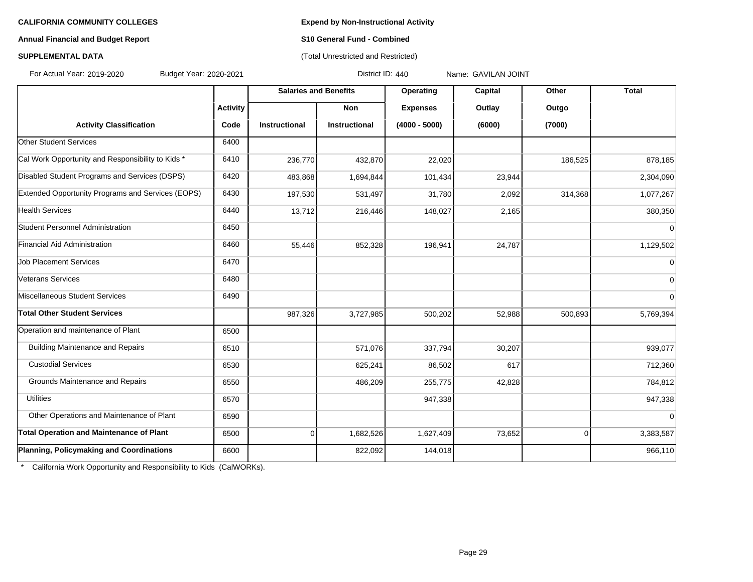## **Annual Financial and Budget Report S10 General Fund - Combined**

# **SUPPLEMENTAL DATA CONSERVATION CONSERVATION** (Total Unrestricted and Restricted)

For Actual Year: 2019-2020 Budget Year: 2020-2021 District ID: 440 Name: GAVILAN JOINT

|                                                   |                 | <b>Salaries and Benefits</b> |               | Operating       | Capital | Other          | <b>Total</b>   |
|---------------------------------------------------|-----------------|------------------------------|---------------|-----------------|---------|----------------|----------------|
|                                                   | <b>Activity</b> |                              | <b>Non</b>    | <b>Expenses</b> | Outlay  | Outgo          |                |
| <b>Activity Classification</b>                    | Code            | Instructional                | Instructional | $(4000 - 5000)$ | (6000)  | (7000)         |                |
| <b>Other Student Services</b>                     | 6400            |                              |               |                 |         |                |                |
| Cal Work Opportunity and Responsibility to Kids * | 6410            | 236,770                      | 432,870       | 22,020          |         | 186,525        | 878,185        |
| Disabled Student Programs and Services (DSPS)     | 6420            | 483,868                      | 1,694,844     | 101,434         | 23,944  |                | 2,304,090      |
| Extended Opportunity Programs and Services (EOPS) | 6430            | 197,530                      | 531,497       | 31,780          | 2,092   | 314,368        | 1,077,267      |
| <b>Health Services</b>                            | 6440            | 13,712                       | 216,446       | 148,027         | 2,165   |                | 380,350        |
| Student Personnel Administration                  | 6450            |                              |               |                 |         |                | $\Omega$       |
| Financial Aid Administration                      | 6460            | 55,446                       | 852,328       | 196,941         | 24,787  |                | 1,129,502      |
| <b>Job Placement Services</b>                     | 6470            |                              |               |                 |         |                | $\Omega$       |
| Veterans Services                                 | 6480            |                              |               |                 |         |                | $\mathbf 0$    |
| Miscellaneous Student Services                    | 6490            |                              |               |                 |         |                | $\overline{0}$ |
| <b>Total Other Student Services</b>               |                 | 987,326                      | 3,727,985     | 500,202         | 52,988  | 500,893        | 5,769,394      |
| Operation and maintenance of Plant                | 6500            |                              |               |                 |         |                |                |
| <b>Building Maintenance and Repairs</b>           | 6510            |                              | 571,076       | 337,794         | 30,207  |                | 939,077        |
| <b>Custodial Services</b>                         | 6530            |                              | 625,241       | 86,502          | 617     |                | 712,360        |
| Grounds Maintenance and Repairs                   | 6550            |                              | 486,209       | 255,775         | 42,828  |                | 784,812        |
| <b>Utilities</b>                                  | 6570            |                              |               | 947,338         |         |                | 947,338        |
| Other Operations and Maintenance of Plant         | 6590            |                              |               |                 |         |                | $\Omega$       |
| <b>Total Operation and Maintenance of Plant</b>   | 6500            | 0                            | 1,682,526     | 1,627,409       | 73,652  | $\overline{0}$ | 3,383,587      |
| Planning, Policymaking and Coordinations          | 6600            |                              | 822,092       | 144,018         |         |                | 966,110        |

\* California Work Opportunity and Responsibility to Kids (CalWORKs).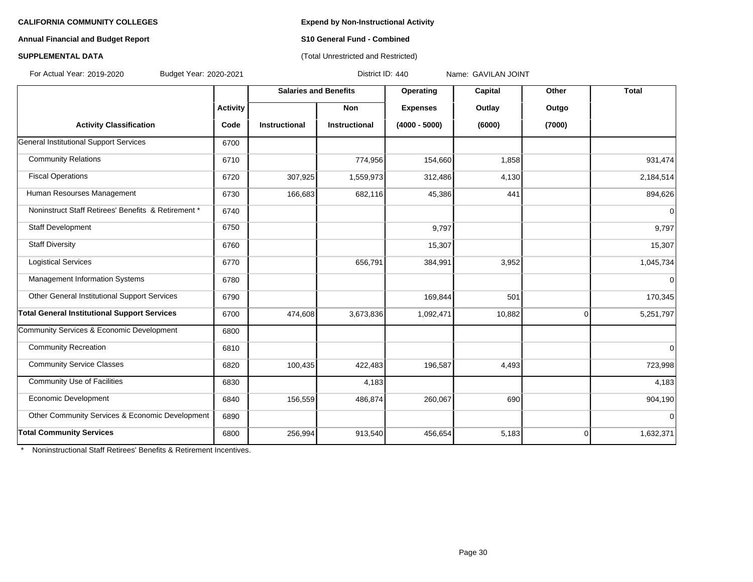**Annual Financial and Budget Report S10 General Fund - Combined**

#### **SUPPLEMENTAL DATA CONSUMPTER ACCOUNT ASSESSMENT AND ACCOUNT ACCOUNT ACCOUNT ACCOUNT ACCOUNT ACCOUNT ACCOUNT ACCOUNT ACCOUNT ACCOUNT ACCOUNT ACCOUNT ACCOUNT ACCOUNT ACCOUNT ACCOUNT ACCOUNT ACCOUNT ACCOUNT ACCOUNT ACCOUNT**

**Salaries and Benefits Operating Capital Other Total Activity Non Expenses Outlay Outgo Activity Classification Code Instructional Instructional (4000 - 5000) (6000) (7000)** General Institutional Support Services 6700 Community Relations | 6710 | 774,956 | 154,660 | 1,858 | 931,474 Fiscal Operations 6720 16720 16720 16720 1,559,973 312,486 4,130 4,130 2,184,514 Human Resourses Management 6730 662,683 682,116 45,386 441 441 894,626 Noninstruct Staff Retirees' Benefits & Retirement \* 6740 0 Staff Development | 6750 | 9,797 | 9,797 Staff Diversity 6760 15,307 15,307 Logistical Services | 6770 | 656,791 | 384,991 | 3,952 | 1,045,734 Management Information Systems **6780 0 12 and 1990 12 and 1990 12 and 1990 12 and 1990 12 and 1990 12 and 1990 1** Other General Institutional Support Services (6790 169,844 501 169,844 501 170,345 **Total General Institutional Support Services** (6700 474,608 3,673,836 1,092,471 10,882 0 5,251,797 Community Services & Economic Development 6800 Community Recreation **6810** 16810 16810 16810 16810 16810 16810 16810 16910 16910 16910 16910 16910 16910 16910 16 Community Service Classes **6820** 100,435 422,483 196,587 4,493 4,493 4,493 Community Use of Facilities **6830** 6830 **4.183** 4,183 **4,183** 4,183 **4,183** Economic Development 156,59 16840 156,559 486,874 260,067 690 690 904,190 Other Community Services & Economic Development 6890 0 **Total Community Services** 6800 256,994 913,540 456,654 5,183 0 1,632,371 For Actual Year: 2019-2020 Budget Year: 2020-2021 District ID: 440 Name: GAVILAN JOINT

**Noninstructional Staff Retirees' Benefits & Retirement Incentives.**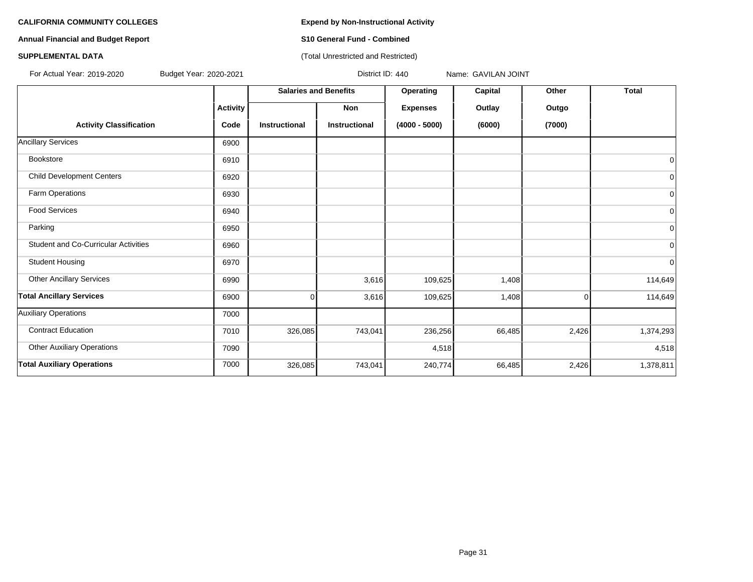**Annual Financial and Budget Report S10 General Fund - Combined**

### **SUPPLEMENTAL DATA CONSERVATION CONSERVATION** (Total Unrestricted and Restricted)

For Actual Year: 2019-2020 Budget Year: 2020-2021 District ID: 440 Name: GAVILAN JOINT

|                                             |                 | <b>Salaries and Benefits</b> |                      | Operating       | Capital | Other    | <b>Total</b>   |
|---------------------------------------------|-----------------|------------------------------|----------------------|-----------------|---------|----------|----------------|
|                                             | <b>Activity</b> |                              | Non                  | <b>Expenses</b> | Outlay  | Outgo    |                |
| <b>Activity Classification</b>              | Code            | <b>Instructional</b>         | <b>Instructional</b> | $(4000 - 5000)$ | (6000)  | (7000)   |                |
| <b>Ancillary Services</b>                   | 6900            |                              |                      |                 |         |          |                |
| Bookstore                                   | 6910            |                              |                      |                 |         |          | 0              |
| <b>Child Development Centers</b>            | 6920            |                              |                      |                 |         |          | 0              |
| Farm Operations                             | 6930            |                              |                      |                 |         |          | $\mathbf 0$    |
| <b>Food Services</b>                        | 6940            |                              |                      |                 |         |          | $\overline{0}$ |
| Parking                                     | 6950            |                              |                      |                 |         |          | $\overline{0}$ |
| <b>Student and Co-Curricular Activities</b> | 6960            |                              |                      |                 |         |          | 0              |
| <b>Student Housing</b>                      | 6970            |                              |                      |                 |         |          | 0              |
| <b>Other Ancillary Services</b>             | 6990            |                              | 3,616                | 109,625         | 1,408   |          | 114,649        |
| <b>Total Ancillary Services</b>             | 6900            | $\Omega$                     | 3,616                | 109,625         | 1,408   | $\Omega$ | 114,649        |
| <b>Auxiliary Operations</b>                 | 7000            |                              |                      |                 |         |          |                |
| <b>Contract Education</b>                   | 7010            | 326,085                      | 743,041              | 236,256         | 66,485  | 2,426    | 1,374,293      |
| <b>Other Auxiliary Operations</b>           | 7090            |                              |                      | 4,518           |         |          | 4,518          |
| <b>Total Auxiliary Operations</b>           | 7000            | 326,085                      | 743,041              | 240,774         | 66,485  | 2,426    | 1,378,811      |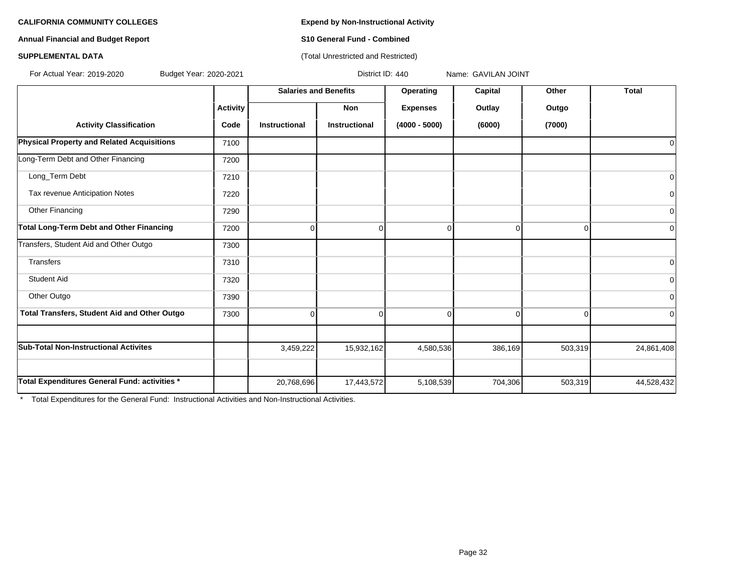**Annual Financial and Budget Report S10 General Fund - Combined**

### **SUPPLEMENTAL DATA CONSERVATION CONSERVATION** (Total Unrestricted and Restricted)

For Actual Year: 2019-2020 Budget Year: 2020-2021 District ID: 440 Name: GAVILAN JOINT

|                                                     |                 | <b>Salaries and Benefits</b> |                      | Operating       | Capital  | Other    | <b>Total</b>   |
|-----------------------------------------------------|-----------------|------------------------------|----------------------|-----------------|----------|----------|----------------|
|                                                     | <b>Activity</b> |                              | <b>Non</b>           | <b>Expenses</b> | Outlay   | Outgo    |                |
| <b>Activity Classification</b>                      | Code            | <b>Instructional</b>         | <b>Instructional</b> | $(4000 - 5000)$ | (6000)   | (7000)   |                |
| Physical Property and Related Acquisitions          | 7100            |                              |                      |                 |          |          | 0              |
| Long-Term Debt and Other Financing                  | 7200            |                              |                      |                 |          |          |                |
| Long_Term Debt                                      | 7210            |                              |                      |                 |          |          | $\mathbf 0$    |
| Tax revenue Anticipation Notes                      | 7220            |                              |                      |                 |          |          | 0              |
| Other Financing                                     | 7290            |                              |                      |                 |          |          | 0              |
| Total Long-Term Debt and Other Financing            | 7200            | 0                            | $\Omega$             | U               | $\Omega$ | $\Omega$ | $\overline{0}$ |
| Transfers, Student Aid and Other Outgo              | 7300            |                              |                      |                 |          |          |                |
| <b>Transfers</b>                                    | 7310            |                              |                      |                 |          |          | $\mathbf 0$    |
| <b>Student Aid</b>                                  | 7320            |                              |                      |                 |          |          | $\Omega$       |
| Other Outgo                                         | 7390            |                              |                      |                 |          |          | 0              |
| <b>Total Transfers, Student Aid and Other Outgo</b> | 7300            | 0                            | 0                    | $\Omega$        | $\Omega$ | 0        | $\overline{0}$ |
| <b>Sub-Total Non-Instructional Activites</b>        |                 | 3,459,222                    | 15,932,162           | 4,580,536       | 386,169  | 503,319  | 24,861,408     |
|                                                     |                 |                              |                      |                 |          |          |                |
| Total Expenditures General Fund: activities *       |                 | 20,768,696                   | 17,443,572           | 5,108,539       | 704,306  | 503,319  | 44,528,432     |

\* Total Expenditures for the General Fund: Instructional Activities and Non-Instructional Activities.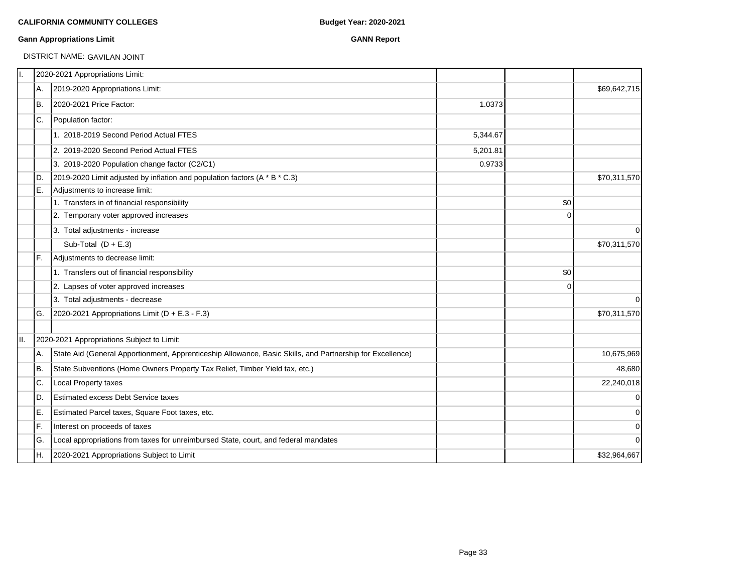### **Gann Appropriations Limit GANN Report**

# DISTRICT NAME: GAVILAN JOINT

|     | 2020-2021 Appropriations Limit:                                                                           |          |          |              |
|-----|-----------------------------------------------------------------------------------------------------------|----------|----------|--------------|
| IA. | 2019-2020 Appropriations Limit:                                                                           |          |          | \$69,642,715 |
| IB. | 2020-2021 Price Factor:                                                                                   | 1.0373   |          |              |
| IC. | Population factor:                                                                                        |          |          |              |
|     | 1. 2018-2019 Second Period Actual FTES                                                                    | 5,344.67 |          |              |
|     | 2. 2019-2020 Second Period Actual FTES                                                                    | 5,201.81 |          |              |
|     | 3. 2019-2020 Population change factor (C2/C1)                                                             | 0.9733   |          |              |
| ID. | 2019-2020 Limit adjusted by inflation and population factors (A * B * C.3)                                |          |          | \$70,311,570 |
| IE. | Adjustments to increase limit:                                                                            |          |          |              |
|     | 1. Transfers in of financial responsibility                                                               |          | \$0      |              |
|     | 2. Temporary voter approved increases                                                                     |          | $\Omega$ |              |
|     | 3. Total adjustments - increase                                                                           |          |          | $\mathbf 0$  |
|     | Sub-Total $(D + E.3)$                                                                                     |          |          | \$70,311,570 |
| IF. | Adjustments to decrease limit:                                                                            |          |          |              |
|     | 1. Transfers out of financial responsibility                                                              |          | \$0      |              |
|     | 2. Lapses of voter approved increases                                                                     |          | $\Omega$ |              |
|     | 3. Total adjustments - decrease                                                                           |          |          | $\Omega$     |
| lG. | 2020-2021 Appropriations Limit ( $D + E.3 - F.3$ )                                                        |          |          | \$70,311,570 |
|     | 2020-2021 Appropriations Subject to Limit:                                                                |          |          |              |
| IA. | State Aid (General Apportionment, Apprenticeship Allowance, Basic Skills, and Partnership for Excellence) |          |          | 10,675,969   |
| Iв. | State Subventions (Home Owners Property Tax Relief, Timber Yield tax, etc.)                               |          |          | 48,680       |
| C.  | Local Property taxes                                                                                      |          |          | 22,240,018   |
| ID. | <b>Estimated excess Debt Service taxes</b>                                                                |          |          | $\mathbf 0$  |
| IE. | Estimated Parcel taxes, Square Foot taxes, etc.                                                           |          |          | $\pmb{0}$    |
| IF. | Interest on proceeds of taxes                                                                             |          |          | $\mathbf 0$  |
| lG. | Local appropriations from taxes for unreimbursed State, court, and federal mandates                       |          |          | $\mathbf 0$  |
| IH. | 2020-2021 Appropriations Subject to Limit                                                                 |          |          | \$32,964,667 |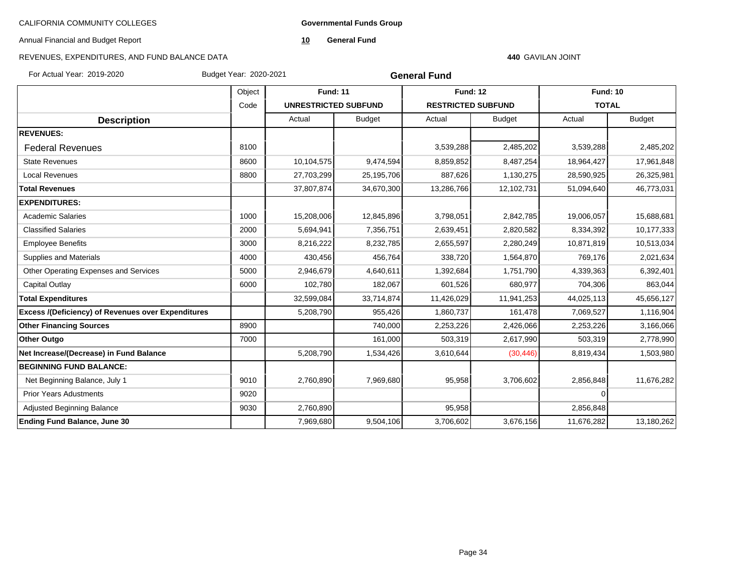**Governmental Funds Group**

Annual Financial and Budget Report

**10 General Fund**

# REVENUES, EXPENDITURES, AND FUND BALANCE DATA

#### **440** GAVILAN JOINT

For Actual Year: 2019-2020 Budget Year: 2020-2021

| <b>General Fund</b> |  |
|---------------------|--|
|---------------------|--|

|                                                           | Object | <b>Fund: 11</b>             |               | <b>Fund: 12</b>           |               | <b>Fund: 10</b> |               |
|-----------------------------------------------------------|--------|-----------------------------|---------------|---------------------------|---------------|-----------------|---------------|
|                                                           | Code   | <b>UNRESTRICTED SUBFUND</b> |               | <b>RESTRICTED SUBFUND</b> |               | <b>TOTAL</b>    |               |
| <b>Description</b>                                        |        | Actual                      | <b>Budget</b> | Actual                    | <b>Budget</b> | Actual          | <b>Budget</b> |
| <b>REVENUES:</b>                                          |        |                             |               |                           |               |                 |               |
| <b>Federal Revenues</b>                                   | 8100   |                             |               | 3,539,288                 | 2,485,202     | 3,539,288       | 2,485,202     |
| <b>State Revenues</b>                                     | 8600   | 10,104,575                  | 9,474,594     | 8,859,852                 | 8,487,254     | 18,964,427      | 17,961,848    |
| <b>Local Revenues</b>                                     | 8800   | 27,703,299                  | 25,195,706    | 887,626                   | 1,130,275     | 28,590,925      | 26,325,981    |
| <b>Total Revenues</b>                                     |        | 37,807,874                  | 34,670,300    | 13,286,766                | 12,102,731    | 51,094,640      | 46,773,031    |
| <b>EXPENDITURES:</b>                                      |        |                             |               |                           |               |                 |               |
| <b>Academic Salaries</b>                                  | 1000   | 15,208,006                  | 12,845,896    | 3,798,051                 | 2,842,785     | 19,006,057      | 15,688,681    |
| <b>Classified Salaries</b>                                | 2000   | 5,694,941                   | 7,356,751     | 2,639,451                 | 2,820,582     | 8,334,392       | 10,177,333    |
| <b>Employee Benefits</b>                                  | 3000   | 8,216,222                   | 8,232,785     | 2,655,597                 | 2,280,249     | 10,871,819      | 10,513,034    |
| Supplies and Materials                                    | 4000   | 430,456                     | 456,764       | 338,720                   | 1,564,870     | 769,176         | 2,021,634     |
| Other Operating Expenses and Services                     | 5000   | 2,946,679                   | 4,640,611     | 1,392,684                 | 1,751,790     | 4,339,363       | 6,392,401     |
| Capital Outlay                                            | 6000   | 102,780                     | 182,067       | 601,526                   | 680,977       | 704,306         | 863,044       |
| <b>Total Expenditures</b>                                 |        | 32,599,084                  | 33,714,874    | 11,426,029                | 11,941,253    | 44,025,113      | 45,656,127    |
| <b>Excess /(Deficiency) of Revenues over Expenditures</b> |        | 5,208,790                   | 955,426       | 1,860,737                 | 161,478       | 7,069,527       | 1,116,904     |
| <b>Other Financing Sources</b>                            | 8900   |                             | 740,000       | 2,253,226                 | 2,426,066     | 2,253,226       | 3,166,066     |
| <b>Other Outgo</b>                                        | 7000   |                             | 161,000       | 503,319                   | 2,617,990     | 503,319         | 2,778,990     |
| Net Increase/(Decrease) in Fund Balance                   |        | 5,208,790                   | 1,534,426     | 3,610,644                 | (30, 446)     | 8,819,434       | 1,503,980     |
| <b>BEGINNING FUND BALANCE:</b>                            |        |                             |               |                           |               |                 |               |
| Net Beginning Balance, July 1                             | 9010   | 2,760,890                   | 7,969,680     | 95,958                    | 3,706,602     | 2,856,848       | 11,676,282    |
| <b>Prior Years Adustments</b>                             | 9020   |                             |               |                           |               | $\Omega$        |               |
| Adjusted Beginning Balance                                | 9030   | 2,760,890                   |               | 95,958                    |               | 2,856,848       |               |
| <b>Ending Fund Balance, June 30</b>                       |        | 7,969,680                   | 9,504,106     | 3,706,602                 | 3,676,156     | 11,676,282      | 13,180,262    |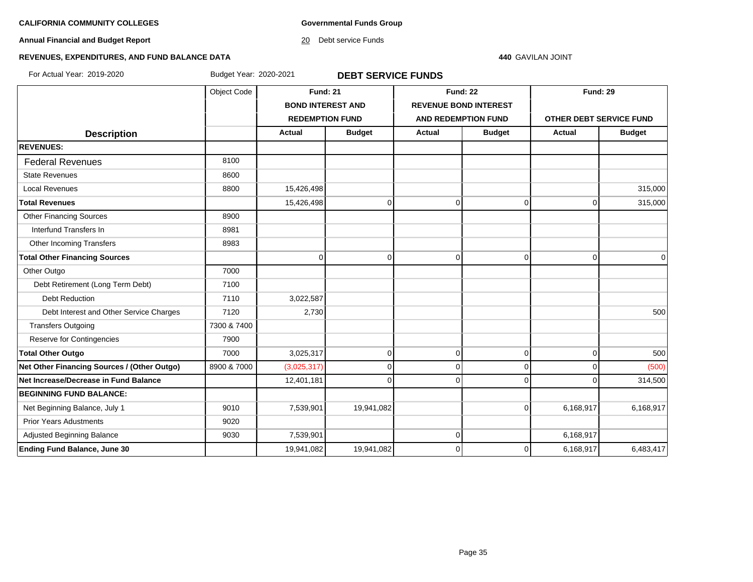**Governmental Funds Group**

**Annual Financial and Budget Report**

20 Debt service Funds

#### **440** GAVILAN JOINT

# **REVENUES, EXPENDITURES, AND FUND BALANCE DATA**

For Actual Year: 2019-2020 Budget Year: 2020-2021 **DEBT SERVICE FUNDS**

|                                             | Object Code | <b>Fund: 21</b>          |               | <b>Fund: 22</b> |                              | <b>Fund: 29</b>                |                |
|---------------------------------------------|-------------|--------------------------|---------------|-----------------|------------------------------|--------------------------------|----------------|
|                                             |             | <b>BOND INTEREST AND</b> |               |                 | <b>REVENUE BOND INTEREST</b> |                                |                |
|                                             |             | <b>REDEMPTION FUND</b>   |               |                 | <b>AND REDEMPTION FUND</b>   | <b>OTHER DEBT SERVICE FUND</b> |                |
| <b>Description</b>                          |             | <b>Actual</b>            | <b>Budget</b> | <b>Actual</b>   | <b>Budget</b>                | Actual                         | <b>Budget</b>  |
| <b>REVENUES:</b>                            |             |                          |               |                 |                              |                                |                |
| <b>Federal Revenues</b>                     | 8100        |                          |               |                 |                              |                                |                |
| <b>State Revenues</b>                       | 8600        |                          |               |                 |                              |                                |                |
| <b>Local Revenues</b>                       | 8800        | 15,426,498               |               |                 |                              |                                | 315,000        |
| <b>Total Revenues</b>                       |             | 15,426,498               | $\mathbf 0$   | $\overline{0}$  | $\overline{0}$               | $\mathbf 0$                    | 315,000        |
| <b>Other Financing Sources</b>              | 8900        |                          |               |                 |                              |                                |                |
| Interfund Transfers In                      | 8981        |                          |               |                 |                              |                                |                |
| Other Incoming Transfers                    | 8983        |                          |               |                 |                              |                                |                |
| <b>Total Other Financing Sources</b>        |             | $\Omega$                 | $\Omega$      | $\Omega$        | $\Omega$                     | $\Omega$                       | $\overline{0}$ |
| Other Outgo                                 | 7000        |                          |               |                 |                              |                                |                |
| Debt Retirement (Long Term Debt)            | 7100        |                          |               |                 |                              |                                |                |
| <b>Debt Reduction</b>                       | 7110        | 3,022,587                |               |                 |                              |                                |                |
| Debt Interest and Other Service Charges     | 7120        | 2,730                    |               |                 |                              |                                | 500            |
| <b>Transfers Outgoing</b>                   | 7300 & 7400 |                          |               |                 |                              |                                |                |
| Reserve for Contingencies                   | 7900        |                          |               |                 |                              |                                |                |
| <b>Total Other Outgo</b>                    | 7000        | 3,025,317                | $\mathbf 0$   | $\overline{0}$  | $\overline{0}$               | $\mathbf 0$                    | 500            |
| Net Other Financing Sources / (Other Outgo) | 8900 & 7000 | (3,025,317)              | $\mathbf 0$   | $\overline{0}$  | $\overline{0}$               | $\mathbf 0$                    | (500)          |
| Net Increase/Decrease in Fund Balance       |             | 12,401,181               | $\Omega$      | 0               | $\Omega$                     | $\Omega$                       | 314,500        |
| <b>BEGINNING FUND BALANCE:</b>              |             |                          |               |                 |                              |                                |                |
| Net Beginning Balance, July 1               | 9010        | 7,539,901                | 19,941,082    |                 | $\overline{0}$               | 6,168,917                      | 6,168,917      |
| <b>Prior Years Adustments</b>               | 9020        |                          |               |                 |                              |                                |                |
| Adjusted Beginning Balance                  | 9030        | 7,539,901                |               | $\Omega$        |                              | 6,168,917                      |                |
| <b>Ending Fund Balance, June 30</b>         |             | 19,941,082               | 19,941,082    | 0               | 0                            | 6,168,917                      | 6,483,417      |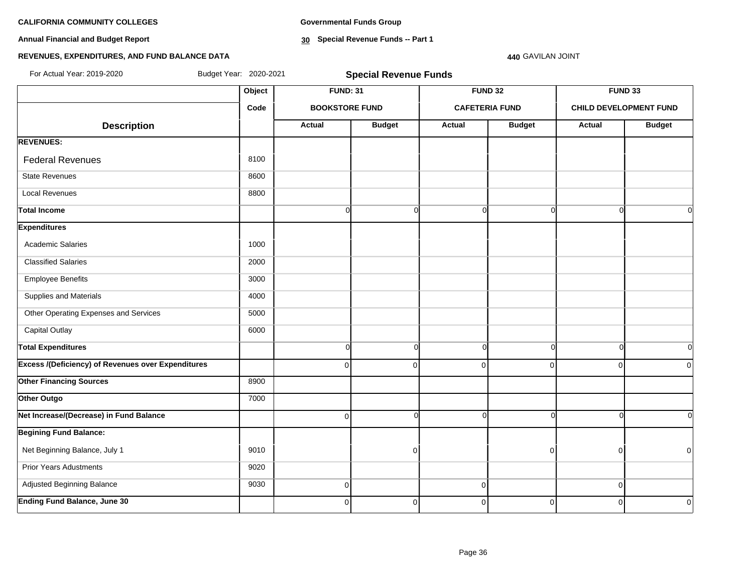**Annual Financial and Budget Report**

**Governmental Funds Group**

**30 Special Revenue Funds -- Part 1**

### **440** GAVILAN JOINT

| For Actual Year: 2019-2020                                | Budget Year: 2020-2021<br><b>Special Revenue Funds</b> |                       |                |                       |               |                |                               |
|-----------------------------------------------------------|--------------------------------------------------------|-----------------------|----------------|-----------------------|---------------|----------------|-------------------------------|
|                                                           | Object                                                 | <b>FUND: 31</b>       |                | <b>FUND 32</b>        |               |                | <b>FUND 33</b>                |
|                                                           | Code                                                   | <b>BOOKSTORE FUND</b> |                | <b>CAFETERIA FUND</b> |               |                | <b>CHILD DEVELOPMENT FUND</b> |
| <b>Description</b>                                        |                                                        | <b>Actual</b>         | <b>Budget</b>  | <b>Actual</b>         | <b>Budget</b> | Actual         | <b>Budget</b>                 |
| <b>REVENUES:</b>                                          |                                                        |                       |                |                       |               |                |                               |
| <b>Federal Revenues</b>                                   | 8100                                                   |                       |                |                       |               |                |                               |
| <b>State Revenues</b>                                     | 8600                                                   |                       |                |                       |               |                |                               |
| <b>Local Revenues</b>                                     | 8800                                                   |                       |                |                       |               |                |                               |
| <b>Total Income</b>                                       |                                                        | $\overline{0}$        | $\overline{0}$ | $\Omega$              | $\Omega$      | ∩              | $\overline{0}$                |
| <b>Expenditures</b>                                       |                                                        |                       |                |                       |               |                |                               |
| <b>Academic Salaries</b>                                  | 1000                                                   |                       |                |                       |               |                |                               |
| <b>Classified Salaries</b>                                | 2000                                                   |                       |                |                       |               |                |                               |
| <b>Employee Benefits</b>                                  | 3000                                                   |                       |                |                       |               |                |                               |
| Supplies and Materials                                    | 4000                                                   |                       |                |                       |               |                |                               |
| Other Operating Expenses and Services                     | 5000                                                   |                       |                |                       |               |                |                               |
| <b>Capital Outlay</b>                                     | 6000                                                   |                       |                |                       |               |                |                               |
| <b>Total Expenditures</b>                                 |                                                        | $\overline{0}$        | $\overline{0}$ | $\mathbf{0}$          | $\Omega$      | ∩              | $\overline{0}$                |
| <b>Excess /(Deficiency) of Revenues over Expenditures</b> |                                                        | $\overline{0}$        | $\Omega$       | $\Omega$              | $\Omega$      | $\Omega$       | $\overline{0}$                |
| <b>Other Financing Sources</b>                            | 8900                                                   |                       |                |                       |               |                |                               |
| Other Outgo                                               | 7000                                                   |                       |                |                       |               |                |                               |
| Net Increase/(Decrease) in Fund Balance                   |                                                        | $\overline{0}$        | $\Omega$       | U                     | ΩI            |                | $\overline{0}$                |
| <b>Begining Fund Balance:</b>                             |                                                        |                       |                |                       |               |                |                               |
| Net Beginning Balance, July 1                             | 9010                                                   |                       | 0              |                       |               |                | $\overline{0}$                |
| <b>Prior Years Adustments</b>                             | 9020                                                   |                       |                |                       |               |                |                               |
| Adjusted Beginning Balance                                | 9030                                                   | $\Omega$              |                | 0                     |               | $\Omega$       |                               |
| <b>Ending Fund Balance, June 30</b>                       |                                                        | $\overline{0}$        | $\mathbf 0$    | 0                     | $\mathbf 0$   | $\overline{0}$ | $\Omega$                      |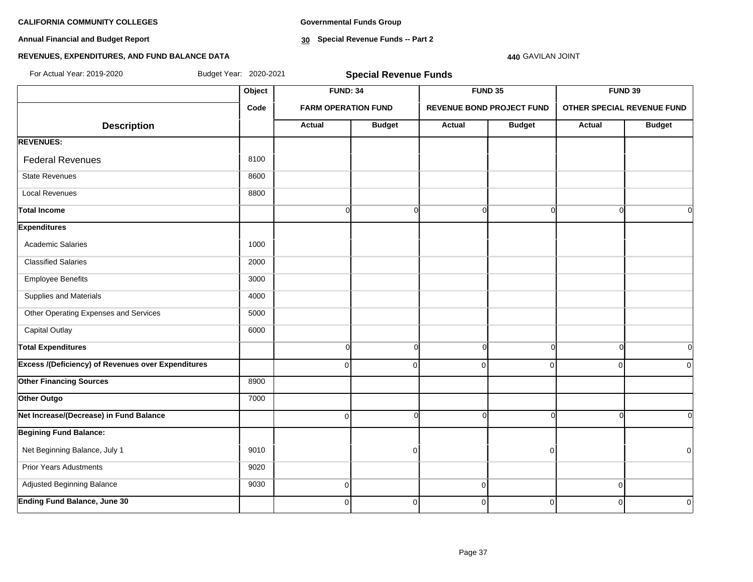**Annual Financial and Budget Report**

**Governmental Funds Group**

**30 Special Revenue Funds -- Part 2**

#### **440** GAVILAN JOINT

| For Actual Year: 2019-2020                                | Budget Year: 2020-2021 |                            | <b>Special Revenue Funds</b> |               |                                  |                            |                |
|-----------------------------------------------------------|------------------------|----------------------------|------------------------------|---------------|----------------------------------|----------------------------|----------------|
|                                                           | Object                 | <b>FUND: 34</b>            |                              |               | FUND 35                          |                            | FUND 39        |
|                                                           | Code                   | <b>FARM OPERATION FUND</b> |                              |               | <b>REVENUE BOND PROJECT FUND</b> | OTHER SPECIAL REVENUE FUND |                |
| <b>Description</b>                                        |                        | <b>Actual</b>              | <b>Budget</b>                | <b>Actual</b> | <b>Budget</b>                    | <b>Actual</b>              | <b>Budget</b>  |
| <b>REVENUES:</b>                                          |                        |                            |                              |               |                                  |                            |                |
| <b>Federal Revenues</b>                                   | 8100                   |                            |                              |               |                                  |                            |                |
| <b>State Revenues</b>                                     | 8600                   |                            |                              |               |                                  |                            |                |
| <b>Local Revenues</b>                                     | 8800                   |                            |                              |               |                                  |                            |                |
| Total Income                                              |                        | $\overline{0}$             | $\mathbf 0$                  | $\Omega$      | $\Omega$                         |                            | $\overline{0}$ |
| <b>Expenditures</b>                                       |                        |                            |                              |               |                                  |                            |                |
| <b>Academic Salaries</b>                                  | 1000                   |                            |                              |               |                                  |                            |                |
| <b>Classified Salaries</b>                                | 2000                   |                            |                              |               |                                  |                            |                |
| <b>Employee Benefits</b>                                  | 3000                   |                            |                              |               |                                  |                            |                |
| Supplies and Materials                                    | 4000                   |                            |                              |               |                                  |                            |                |
| Other Operating Expenses and Services                     | 5000                   |                            |                              |               |                                  |                            |                |
| Capital Outlay                                            | 6000                   |                            |                              |               |                                  |                            |                |
| <b>Total Expenditures</b>                                 |                        | $\overline{0}$             | $\mathbf 0$                  | $\Omega$      | $\Omega$                         |                            | $\overline{0}$ |
| <b>Excess /(Deficiency) of Revenues over Expenditures</b> |                        | $\overline{0}$             | $\mathbf 0$                  | $\mathbf 0$   | $\mathbf 0$                      | $\Omega$                   | $\overline{0}$ |
| <b>Other Financing Sources</b>                            | 8900                   |                            |                              |               |                                  |                            |                |
| Other Outgo                                               | 7000                   |                            |                              |               |                                  |                            |                |
| Net Increase/(Decrease) in Fund Balance                   |                        | $\overline{0}$             | $\Omega$                     | $\Omega$      | $\Omega$                         |                            | $\Omega$       |
| <b>Begining Fund Balance:</b>                             |                        |                            |                              |               |                                  |                            |                |
| Net Beginning Balance, July 1                             | 9010                   |                            | $\mathbf 0$                  |               | $\overline{0}$                   |                            | $\Omega$       |
| <b>Prior Years Adustments</b>                             | 9020                   |                            |                              |               |                                  |                            |                |
| Adjusted Beginning Balance                                | 9030                   | $\overline{0}$             |                              | $\mathbf 0$   |                                  | $\Omega$                   |                |
| <b>Ending Fund Balance, June 30</b>                       |                        | $\Omega$                   | $\mathbf 0$                  | $\Omega$      | $\overline{0}$                   | O                          | $\overline{0}$ |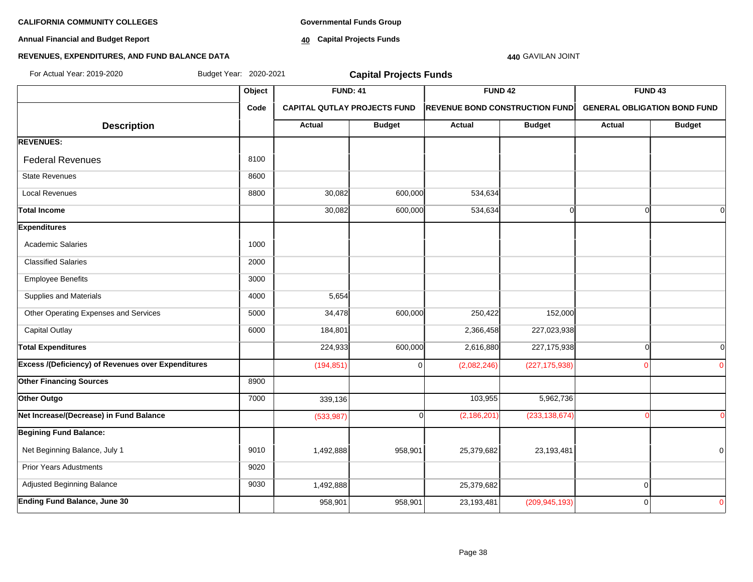**Annual Financial and Budget Report**

**Governmental Funds Group**

**40 Capital Projects Funds**

# **440** GAVILAN JOINT

| For Actual Year: 2019-2020                                | Budget Year: 2020-2021 |            | <b>Capital Projects Funds</b>                                                                                     |               |                 |                                     |               |
|-----------------------------------------------------------|------------------------|------------|-------------------------------------------------------------------------------------------------------------------|---------------|-----------------|-------------------------------------|---------------|
|                                                           | Object                 |            | <b>FUND: 41</b><br><b>FUND 42</b><br><b>CAPITAL QUTLAY PROJECTS FUND</b><br><b>REVENUE BOND CONSTRUCTION FUND</b> |               |                 | FUND <sub>43</sub>                  |               |
|                                                           | Code                   |            |                                                                                                                   |               |                 | <b>GENERAL OBLIGATION BOND FUND</b> |               |
| <b>Description</b>                                        |                        | Actual     | <b>Budget</b>                                                                                                     | <b>Actual</b> | <b>Budget</b>   | <b>Actual</b>                       | <b>Budget</b> |
| <b>REVENUES:</b>                                          |                        |            |                                                                                                                   |               |                 |                                     |               |
| <b>Federal Revenues</b>                                   | 8100                   |            |                                                                                                                   |               |                 |                                     |               |
| <b>State Revenues</b>                                     | 8600                   |            |                                                                                                                   |               |                 |                                     |               |
| <b>Local Revenues</b>                                     | 8800                   | 30,082     | 600,000                                                                                                           | 534,634       |                 |                                     |               |
| <b>Total Income</b>                                       |                        | 30,082     | 600,000                                                                                                           | 534,634       | $\Omega$        | $\Omega$                            |               |
| <b>Expenditures</b>                                       |                        |            |                                                                                                                   |               |                 |                                     |               |
| <b>Academic Salaries</b>                                  | 1000                   |            |                                                                                                                   |               |                 |                                     |               |
| <b>Classified Salaries</b>                                | 2000                   |            |                                                                                                                   |               |                 |                                     |               |
| <b>Employee Benefits</b>                                  | 3000                   |            |                                                                                                                   |               |                 |                                     |               |
| Supplies and Materials                                    | 4000                   | 5,654      |                                                                                                                   |               |                 |                                     |               |
| Other Operating Expenses and Services                     | 5000                   | 34,478     | 600,000                                                                                                           | 250,422       | 152,000         |                                     |               |
| <b>Capital Outlay</b>                                     | 6000                   | 184,801    |                                                                                                                   | 2,366,458     | 227,023,938     |                                     |               |
| <b>Total Expenditures</b>                                 |                        | 224,933    | 600,000                                                                                                           | 2,616,880     | 227,175,938     | $\Omega$                            | $\Omega$      |
| <b>Excess /(Deficiency) of Revenues over Expenditures</b> |                        | (194, 851) | $\Omega$                                                                                                          | (2,082,246)   | (227, 175, 938) |                                     | $\Omega$      |
| <b>Other Financing Sources</b>                            | 8900                   |            |                                                                                                                   |               |                 |                                     |               |
| Other Outgo                                               | 7000                   | 339,136    |                                                                                                                   | 103,955       | 5,962,736       |                                     |               |
| Net Increase/(Decrease) in Fund Balance                   |                        | (533, 987) | ∩                                                                                                                 | (2, 186, 201) | (233, 138, 674) |                                     | $\Omega$      |
| <b>Begining Fund Balance:</b>                             |                        |            |                                                                                                                   |               |                 |                                     |               |
| Net Beginning Balance, July 1                             | 9010                   | 1,492,888  | 958,901                                                                                                           | 25,379,682    | 23,193,481      |                                     | 0             |
| <b>Prior Years Adustments</b>                             | 9020                   |            |                                                                                                                   |               |                 |                                     |               |
| Adjusted Beginning Balance                                | 9030                   | 1,492,888  |                                                                                                                   | 25,379,682    |                 | $\mathbf 0$                         |               |
| <b>Ending Fund Balance, June 30</b>                       |                        | 958,901    | 958,901                                                                                                           | 23,193,481    | (209, 945, 193) | $\Omega$                            | 0             |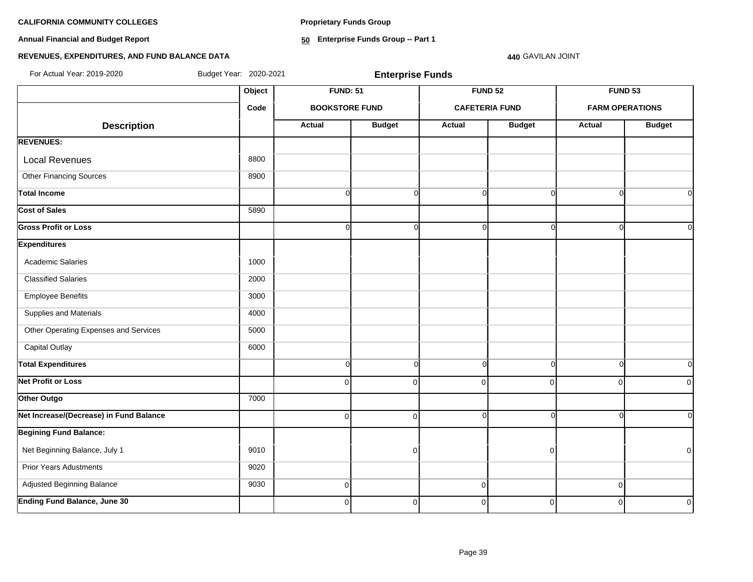**Annual Financial and Budget Report**

**Proprietary Funds Group**

**50 Enterprise Funds Group -- Part 1**

### **440** GAVILAN JOINT

# **REVENUES, EXPENDITURES, AND FUND BALANCE DATA**

For Actual Year: 2019-2020 Budget Year: 2020-2021 **Enterprise Funds**

|                                         |      | <b>FUND: 51</b>       |               |             | <b>FUND 52</b>        | FUND <sub>53</sub>     |                |
|-----------------------------------------|------|-----------------------|---------------|-------------|-----------------------|------------------------|----------------|
|                                         | Code | <b>BOOKSTORE FUND</b> |               |             | <b>CAFETERIA FUND</b> | <b>FARM OPERATIONS</b> |                |
| <b>Description</b>                      |      | <b>Actual</b>         | <b>Budget</b> | Actual      | <b>Budget</b>         | <b>Actual</b>          | <b>Budget</b>  |
| <b>REVENUES:</b>                        |      |                       |               |             |                       |                        |                |
| <b>Local Revenues</b>                   | 8800 |                       |               |             |                       |                        |                |
| Other Financing Sources                 | 8900 |                       |               |             |                       |                        |                |
| <b>Total Income</b>                     |      | $\Omega$              | $\Omega$      | $\Omega$    | $\Omega$              | $\Omega$               | $\Omega$       |
| Cost of Sales                           | 5890 |                       |               |             |                       |                        |                |
| <b>Gross Profit or Loss</b>             |      | $\Omega$              | $\Omega$      | $\Omega$    | $\Omega$              | C                      | $\Omega$       |
| <b>Expenditures</b>                     |      |                       |               |             |                       |                        |                |
| Academic Salaries                       | 1000 |                       |               |             |                       |                        |                |
| <b>Classified Salaries</b>              | 2000 |                       |               |             |                       |                        |                |
| <b>Employee Benefits</b>                | 3000 |                       |               |             |                       |                        |                |
| Supplies and Materials                  | 4000 |                       |               |             |                       |                        |                |
| Other Operating Expenses and Services   | 5000 |                       |               |             |                       |                        |                |
| <b>Capital Outlay</b>                   | 6000 |                       |               |             |                       |                        |                |
| <b>Total Expenditures</b>               |      | $\circ$               | $\Omega$      | $\Omega$    | $\Omega$              | $\Omega$               | $\overline{0}$ |
| <b>Net Profit or Loss</b>               |      | $\Omega$              | $\Omega$      | $\Omega$    | $\Omega$              | $\Omega$               | $\overline{0}$ |
| Other Outgo                             | 7000 |                       |               |             |                       |                        |                |
| Net Increase/(Decrease) in Fund Balance |      | $\overline{0}$        | $\Omega$      | $\Omega$    | $\Omega$              | $\Omega$               | $\overline{0}$ |
| <b>Begining Fund Balance:</b>           |      |                       |               |             |                       |                        |                |
| Net Beginning Balance, July 1           | 9010 |                       | $\Omega$      |             | $\overline{0}$        |                        | $\overline{0}$ |
| Prior Years Adustments                  | 9020 |                       |               |             |                       |                        |                |
| Adjusted Beginning Balance              | 9030 | $\overline{0}$        |               | $\pmb{0}$   |                       | $\overline{0}$         |                |
| <b>Ending Fund Balance, June 30</b>     |      | $\overline{0}$        | $\Omega$      | $\mathbf 0$ | $\overline{0}$        | $\Omega$               | $\overline{0}$ |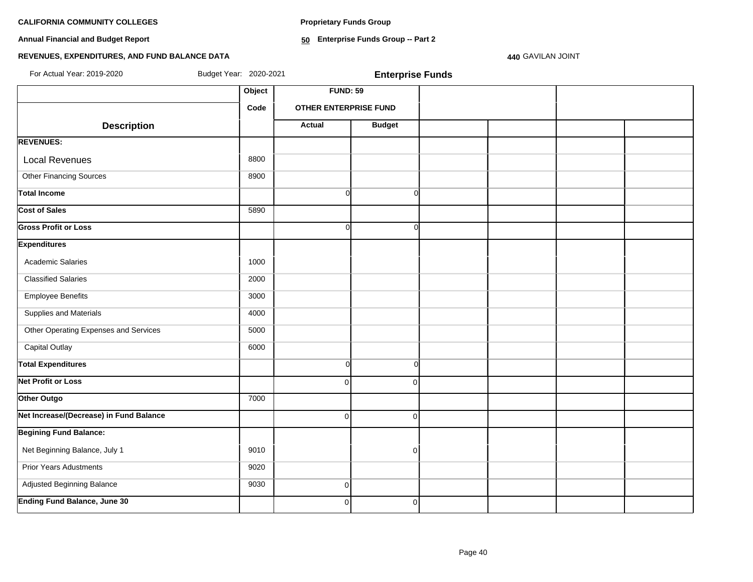**Proprietary Funds Group**

**Annual Financial and Budget Report**

**50 Enterprise Funds Group -- Part 2**

# **REVENUES, EXPENDITURES, AND FUND BALANCE DATA**

**440** GAVILAN JOINT

| For Actual Year: 2019-2020              | Budget Year: 2020-2021 |                              | <b>Enterprise Funds</b> |  |  |
|-----------------------------------------|------------------------|------------------------------|-------------------------|--|--|
|                                         | Object                 | <b>FUND: 59</b>              |                         |  |  |
|                                         | Code                   | <b>OTHER ENTERPRISE FUND</b> |                         |  |  |
| <b>Description</b>                      |                        | <b>Actual</b>                | <b>Budget</b>           |  |  |
| <b>REVENUES:</b>                        |                        |                              |                         |  |  |
| <b>Local Revenues</b>                   | 8800                   |                              |                         |  |  |
| <b>Other Financing Sources</b>          | 8900                   |                              |                         |  |  |
| <b>Total Income</b>                     |                        | $\Omega$                     | 0                       |  |  |
| <b>Cost of Sales</b>                    | 5890                   |                              |                         |  |  |
| <b>Gross Profit or Loss</b>             |                        | $\Omega$                     | 0l                      |  |  |
| <b>Expenditures</b>                     |                        |                              |                         |  |  |
| <b>Academic Salaries</b>                | 1000                   |                              |                         |  |  |
| <b>Classified Salaries</b>              | 2000                   |                              |                         |  |  |
| <b>Employee Benefits</b>                | 3000                   |                              |                         |  |  |
| Supplies and Materials                  | 4000                   |                              |                         |  |  |
| Other Operating Expenses and Services   | 5000                   |                              |                         |  |  |
| <b>Capital Outlay</b>                   | 6000                   |                              |                         |  |  |
| <b>Total Expenditures</b>               |                        | $\Omega$                     | <sub>0</sub>            |  |  |
| <b>Net Profit or Loss</b>               |                        | $\Omega$                     | $\Omega$                |  |  |
| Other Outgo                             | 7000                   |                              |                         |  |  |
| Net Increase/(Decrease) in Fund Balance |                        | $\Omega$                     | $\Omega$                |  |  |
| <b>Begining Fund Balance:</b>           |                        |                              |                         |  |  |
| Net Beginning Balance, July 1           | 9010                   |                              | $\Omega$                |  |  |
| <b>Prior Years Adustments</b>           | 9020                   |                              |                         |  |  |
| <b>Adjusted Beginning Balance</b>       | 9030                   | $\overline{0}$               |                         |  |  |
| <b>Ending Fund Balance, June 30</b>     |                        | οI                           | $\mathbf{0}$            |  |  |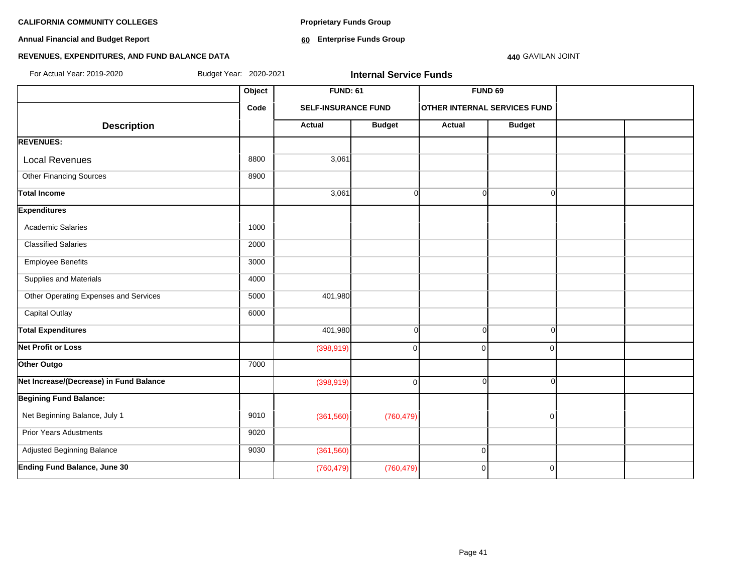**Annual Financial and Budget Report**

**Proprietary Funds Group**

**60 Enterprise Funds Group** 

# **REVENUES, EXPENDITURES, AND FUND BALANCE DATA**

#### **440** GAVILAN JOINT

| For Actual Year: 2019-2020              | Budget Year: 2020-2021 |                            | <b>Internal Service Funds</b> |                                     |               |  |
|-----------------------------------------|------------------------|----------------------------|-------------------------------|-------------------------------------|---------------|--|
|                                         | Object                 | <b>FUND: 61</b>            |                               |                                     | FUND 69       |  |
|                                         | Code                   | <b>SELF-INSURANCE FUND</b> |                               | <b>OTHER INTERNAL SERVICES FUND</b> |               |  |
| <b>Description</b>                      |                        | <b>Actual</b>              | <b>Budget</b>                 | <b>Actual</b>                       | <b>Budget</b> |  |
| <b>REVENUES:</b>                        |                        |                            |                               |                                     |               |  |
| <b>Local Revenues</b>                   | 8800                   | 3,061                      |                               |                                     |               |  |
| <b>Other Financing Sources</b>          | 8900                   |                            |                               |                                     |               |  |
| <b>Total Income</b>                     |                        | 3,061                      | $\mathbf{0}$                  | $\Omega$                            | n             |  |
| <b>Expenditures</b>                     |                        |                            |                               |                                     |               |  |
| <b>Academic Salaries</b>                | 1000                   |                            |                               |                                     |               |  |
| <b>Classified Salaries</b>              | 2000                   |                            |                               |                                     |               |  |
| <b>Employee Benefits</b>                | 3000                   |                            |                               |                                     |               |  |
| Supplies and Materials                  | 4000                   |                            |                               |                                     |               |  |
| Other Operating Expenses and Services   | 5000                   | 401,980                    |                               |                                     |               |  |
| <b>Capital Outlay</b>                   | 6000                   |                            |                               |                                     |               |  |
| <b>Total Expenditures</b>               |                        | 401,980                    | $\circ$                       | $\Omega$                            | $\Omega$      |  |
| <b>Net Profit or Loss</b>               |                        | (398, 919)                 | $\overline{0}$                | $\Omega$                            | ŋ             |  |
| Other Outgo                             | 7000                   |                            |                               |                                     |               |  |
| Net Increase/(Decrease) in Fund Balance |                        | (398, 919)                 | $\overline{0}$                | $\Omega$                            | ∩             |  |
| <b>Begining Fund Balance:</b>           |                        |                            |                               |                                     |               |  |
| Net Beginning Balance, July 1           | 9010                   | (361, 560)                 | (760, 479)                    |                                     | $\Omega$      |  |
| <b>Prior Years Adustments</b>           | 9020                   |                            |                               |                                     |               |  |
| Adjusted Beginning Balance              | 9030                   | (361, 560)                 |                               | $\Omega$                            |               |  |
| <b>Ending Fund Balance, June 30</b>     |                        | (760, 479)                 | (760, 479)                    | $\Omega$                            | $\Omega$      |  |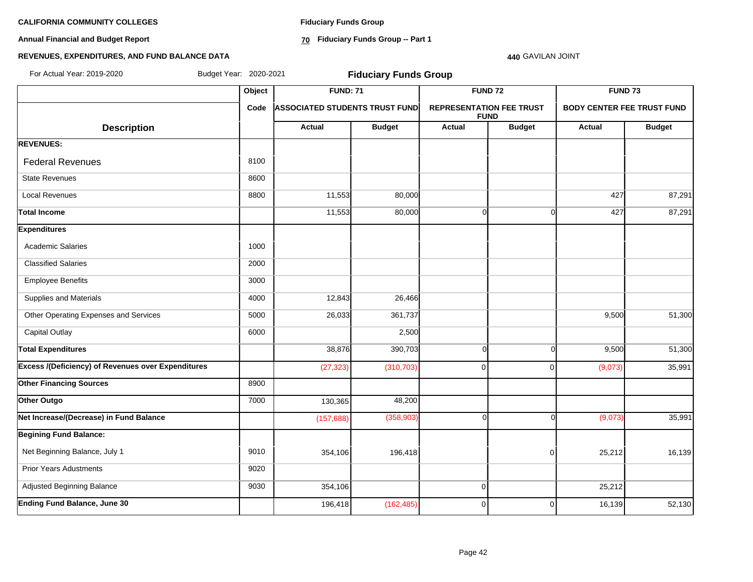**Annual Financial and Budget Report**

**Fiduciary Funds Group**

**70 Fiduciary Funds Group -- Part 1**

#### **440** GAVILAN JOINT

| For Actual Year: 2019-2020                                | Budget Year: 2020-2021 |                                       | <b>Fiduciary Funds Group</b> |                                                |                    |                                   |               |
|-----------------------------------------------------------|------------------------|---------------------------------------|------------------------------|------------------------------------------------|--------------------|-----------------------------------|---------------|
|                                                           | Object                 |                                       | <b>FUND: 71</b>              |                                                | FUND <sub>72</sub> | FUND <sub>73</sub>                |               |
|                                                           | Code                   | <b>ASSOCIATED STUDENTS TRUST FUND</b> |                              | <b>REPRESENTATION FEE TRUST</b><br><b>FUND</b> |                    | <b>BODY CENTER FEE TRUST FUND</b> |               |
| <b>Description</b>                                        |                        | <b>Actual</b>                         | <b>Budget</b>                | <b>Actual</b>                                  | <b>Budget</b>      | Actual                            | <b>Budget</b> |
| <b>REVENUES:</b>                                          |                        |                                       |                              |                                                |                    |                                   |               |
| <b>Federal Revenues</b>                                   | 8100                   |                                       |                              |                                                |                    |                                   |               |
| <b>State Revenues</b>                                     | 8600                   |                                       |                              |                                                |                    |                                   |               |
| <b>Local Revenues</b>                                     | 8800                   | 11,553                                | 80,000                       |                                                |                    | 427                               | 87,291        |
| <b>Total Income</b>                                       |                        | 11,553                                | 80,000                       | $\Omega$                                       | $\overline{0}$     | 427                               | 87,291        |
| <b>Expenditures</b>                                       |                        |                                       |                              |                                                |                    |                                   |               |
| <b>Academic Salaries</b>                                  | 1000                   |                                       |                              |                                                |                    |                                   |               |
| <b>Classified Salaries</b>                                | 2000                   |                                       |                              |                                                |                    |                                   |               |
| <b>Employee Benefits</b>                                  | 3000                   |                                       |                              |                                                |                    |                                   |               |
| Supplies and Materials                                    | 4000                   | 12,843                                | 26,466                       |                                                |                    |                                   |               |
| Other Operating Expenses and Services                     | 5000                   | 26,033                                | 361,737                      |                                                |                    | 9,500                             | 51,300        |
| <b>Capital Outlay</b>                                     | 6000                   |                                       | 2,500                        |                                                |                    |                                   |               |
| <b>Total Expenditures</b>                                 |                        | 38,876                                | 390,703                      | $\Omega$                                       | $\Omega$           | 9,500                             | 51,300        |
| <b>Excess /(Deficiency) of Revenues over Expenditures</b> |                        | (27, 323)                             | (310, 703)                   | $\Omega$                                       | 0                  | (9,073)                           | 35,991        |
| <b>Other Financing Sources</b>                            | 8900                   |                                       |                              |                                                |                    |                                   |               |
| Other Outgo                                               | 7000                   | 130,365                               | 48,200                       |                                                |                    |                                   |               |
| Net Increase/(Decrease) in Fund Balance                   |                        | (157, 688)                            | (358, 903)                   | $\Omega$                                       | $\Omega$           | (9,073)                           | 35,991        |
| <b>Begining Fund Balance:</b>                             |                        |                                       |                              |                                                |                    |                                   |               |
| Net Beginning Balance, July 1                             | 9010                   | 354,106                               | 196,418                      |                                                | 0                  | 25,212                            | 16,139        |
| <b>Prior Years Adustments</b>                             | 9020                   |                                       |                              |                                                |                    |                                   |               |
| Adjusted Beginning Balance                                | 9030                   | 354,106                               |                              | 0                                              |                    | 25,212                            |               |
| Ending Fund Balance, June 30                              |                        | 196,418                               | (162, 485)                   | $\Omega$                                       | 0                  | 16,139                            | 52,130        |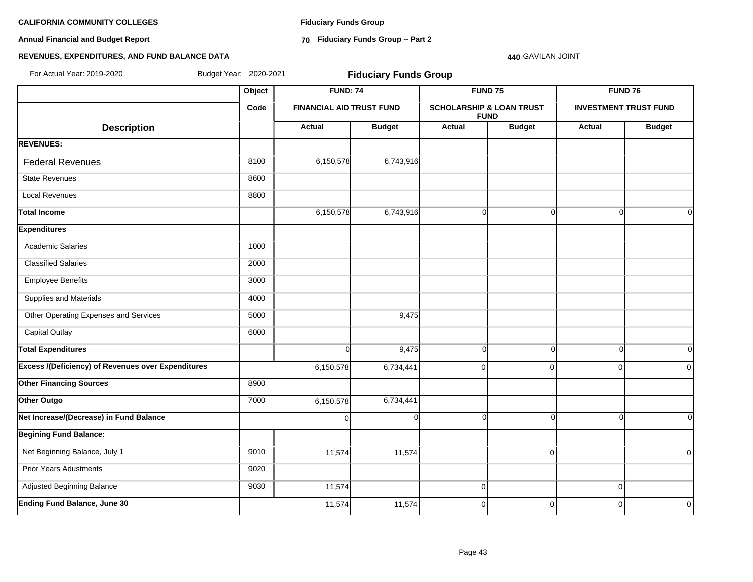**Annual Financial and Budget Report**

**Fiduciary Funds Group**

**70 Fiduciary Funds Group -- Part 2**

#### **440** GAVILAN JOINT

| For Actual Year: 2019-2020                                |        | Budget Year: 2020-2021<br><b>Fiduciary Funds Group</b> |               |                                                    |                |                              |                |  |
|-----------------------------------------------------------|--------|--------------------------------------------------------|---------------|----------------------------------------------------|----------------|------------------------------|----------------|--|
|                                                           | Object | <b>FUND: 74</b><br><b>FINANCIAL AID TRUST FUND</b>     |               |                                                    | <b>FUND 75</b> | <b>FUND 76</b>               |                |  |
|                                                           | Code   |                                                        |               | <b>SCHOLARSHIP &amp; LOAN TRUST</b><br><b>FUND</b> |                | <b>INVESTMENT TRUST FUND</b> |                |  |
| <b>Description</b>                                        |        | <b>Actual</b>                                          | <b>Budget</b> | Actual                                             | <b>Budget</b>  | Actual                       | <b>Budget</b>  |  |
| <b>REVENUES:</b>                                          |        |                                                        |               |                                                    |                |                              |                |  |
| <b>Federal Revenues</b>                                   | 8100   | 6,150,578                                              | 6,743,916     |                                                    |                |                              |                |  |
| <b>State Revenues</b>                                     | 8600   |                                                        |               |                                                    |                |                              |                |  |
| <b>Local Revenues</b>                                     | 8800   |                                                        |               |                                                    |                |                              |                |  |
| <b>Total Income</b>                                       |        | 6,150,578                                              | 6,743,916     | $\mathbf 0$                                        | $\Omega$       | $\Omega$                     | $\overline{O}$ |  |
| <b>Expenditures</b>                                       |        |                                                        |               |                                                    |                |                              |                |  |
| <b>Academic Salaries</b>                                  | 1000   |                                                        |               |                                                    |                |                              |                |  |
| <b>Classified Salaries</b>                                | 2000   |                                                        |               |                                                    |                |                              |                |  |
| <b>Employee Benefits</b>                                  | 3000   |                                                        |               |                                                    |                |                              |                |  |
| Supplies and Materials                                    | 4000   |                                                        |               |                                                    |                |                              |                |  |
| Other Operating Expenses and Services                     | 5000   |                                                        | 9,475         |                                                    |                |                              |                |  |
| <b>Capital Outlay</b>                                     | 6000   |                                                        |               |                                                    |                |                              |                |  |
| <b>Total Expenditures</b>                                 |        | $\overline{O}$                                         | 9,475         | $\mathbf 0$                                        | $\Omega$       | $\Omega$                     | $\overline{0}$ |  |
| <b>Excess /(Deficiency) of Revenues over Expenditures</b> |        | 6,150,578                                              | 6,734,441     | $\mathbf 0$                                        | $\Omega$       | $\Omega$                     | $\overline{0}$ |  |
| <b>Other Financing Sources</b>                            | 8900   |                                                        |               |                                                    |                |                              |                |  |
| Other Outgo                                               | 7000   | 6,150,578                                              | 6,734,441     |                                                    |                |                              |                |  |
| Net Increase/(Decrease) in Fund Balance                   |        | $\Omega$                                               | $\Omega$      | $\Omega$                                           | n              | ſ                            | $\Omega$       |  |
| <b>Begining Fund Balance:</b>                             |        |                                                        |               |                                                    |                |                              |                |  |
| Net Beginning Balance, July 1                             | 9010   | 11,574                                                 | 11,574        |                                                    | $\mathbf 0$    |                              | $\overline{0}$ |  |
| <b>Prior Years Adustments</b>                             | 9020   |                                                        |               |                                                    |                |                              |                |  |
| Adjusted Beginning Balance                                | 9030   | 11,574                                                 |               | $\pmb{0}$                                          |                | $\mathbf 0$                  |                |  |
| <b>Ending Fund Balance, June 30</b>                       |        | 11,574                                                 | 11,574        | 0                                                  | $\overline{0}$ | $\mathbf 0$                  | $\overline{0}$ |  |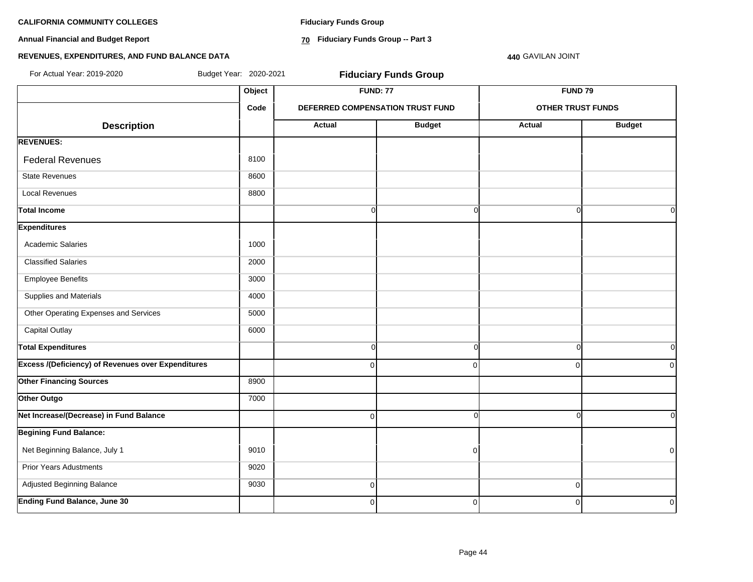**Annual Financial and Budget Report**

**Fiduciary Funds Group**

**70 Fiduciary Funds Group -- Part 3**

**440** GAVILAN JOINT

| For Actual Year: 2019-2020                                | Budget Year: 2020-2021 |                | <b>Fiduciary Funds Group</b>     |                          |                |  |
|-----------------------------------------------------------|------------------------|----------------|----------------------------------|--------------------------|----------------|--|
|                                                           | Object                 |                | <b>FUND: 77</b>                  | <b>FUND 79</b>           |                |  |
|                                                           |                        |                | DEFERRED COMPENSATION TRUST FUND | <b>OTHER TRUST FUNDS</b> |                |  |
| <b>Description</b>                                        |                        | Actual         | <b>Budget</b>                    | Actual                   | <b>Budget</b>  |  |
| <b>REVENUES:</b>                                          |                        |                |                                  |                          |                |  |
| <b>Federal Revenues</b>                                   | 8100                   |                |                                  |                          |                |  |
| <b>State Revenues</b>                                     | 8600                   |                |                                  |                          |                |  |
| <b>Local Revenues</b>                                     | 8800                   |                |                                  |                          |                |  |
| <b>Total Income</b>                                       |                        | $\overline{0}$ | $\overline{0}$                   | $\Omega$                 | 0l             |  |
| <b>Expenditures</b>                                       |                        |                |                                  |                          |                |  |
| <b>Academic Salaries</b>                                  | 1000                   |                |                                  |                          |                |  |
| <b>Classified Salaries</b>                                | 2000                   |                |                                  |                          |                |  |
| <b>Employee Benefits</b>                                  | 3000                   |                |                                  |                          |                |  |
| Supplies and Materials                                    | 4000                   |                |                                  |                          |                |  |
| Other Operating Expenses and Services                     | 5000                   |                |                                  |                          |                |  |
| Capital Outlay                                            | 6000                   |                |                                  |                          |                |  |
| <b>Total Expenditures</b>                                 |                        | $\overline{0}$ | $\overline{0}$                   | $\Omega$                 | 0l             |  |
| <b>Excess /(Deficiency) of Revenues over Expenditures</b> |                        | $\Omega$       | $\overline{0}$                   | $\mathbf 0$              | $\overline{0}$ |  |
| <b>Other Financing Sources</b>                            | 8900                   |                |                                  |                          |                |  |
| Other Outgo                                               | 7000                   |                |                                  |                          |                |  |
| Net Increase/(Decrease) in Fund Balance                   |                        | $\Omega$       | $\Omega$                         | $\Omega$                 | οI             |  |
| <b>Begining Fund Balance:</b>                             |                        |                |                                  |                          |                |  |
| Net Beginning Balance, July 1                             | 9010                   |                | $\overline{0}$                   |                          | $\Omega$       |  |
| <b>Prior Years Adustments</b>                             | 9020                   |                |                                  |                          |                |  |
| Adjusted Beginning Balance                                | 9030                   | $\overline{0}$ |                                  | $\mathbf 0$              |                |  |
| <b>Ending Fund Balance, June 30</b>                       |                        | $\Omega$       | $\overline{0}$                   | $\mathbf 0$              | $\mathbf 0$    |  |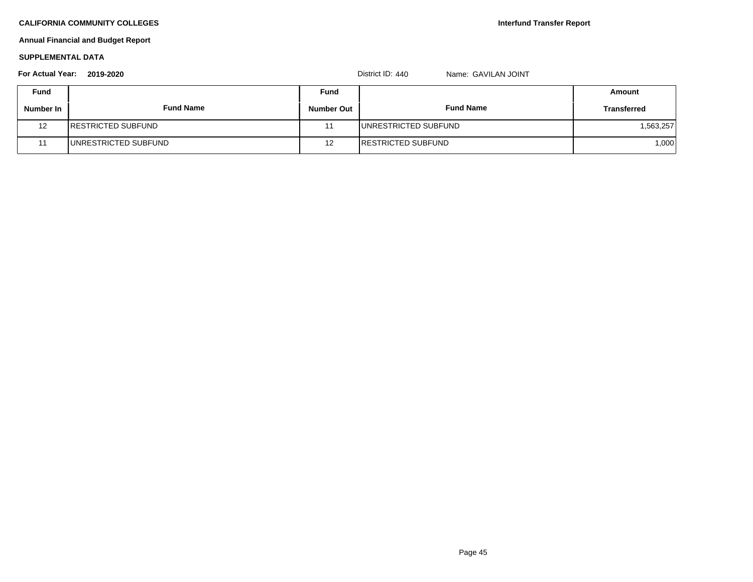# **Annual Financial and Budget Report**

#### **SUPPLEMENTAL DATA**

# **Fund Fund Amount Number In Fund Name Number Out Fund Name Transferred** 12 RESTRICTED SUBFUND 1,563,257 11 UNRESTRICTED SUBFUND 12 RESTRICTED SUBFUND 1,000 **For Actual Year: 2019-2020** District ID: 440 Name: GAVILAN JOINT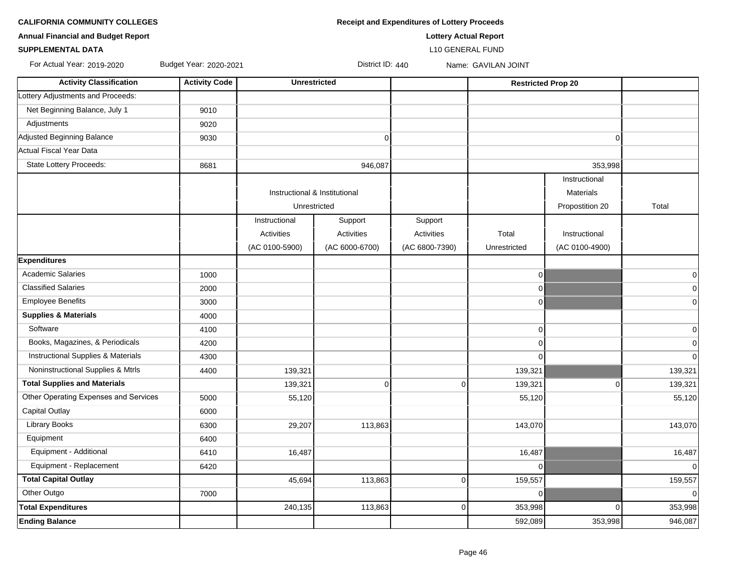| <b>CALIFORNIA COMMUNITY COLLEGES</b> | <b>Receipt and Expenditures of Lottery Proceeds</b> |
|--------------------------------------|-----------------------------------------------------|
|--------------------------------------|-----------------------------------------------------|

**SUPPLEMENTAL DATA** L10 GENERAL FUND

| <b>Annual Financial and Budget Report</b> | <b>Lottery Actual Report</b> |
|-------------------------------------------|------------------------------|

For Actual Year: 2019-2020 Budget Year: 2020-2021 District ID: 440 Name: GAVILAN JOINT

| <b>Activity Classification</b>        | <b>Activity Code</b> | <b>Unrestricted</b>           |                |                |              | <b>Restricted Prop 20</b> |                |
|---------------------------------------|----------------------|-------------------------------|----------------|----------------|--------------|---------------------------|----------------|
| Lottery Adjustments and Proceeds:     |                      |                               |                |                |              |                           |                |
| Net Beginning Balance, July 1         | 9010                 |                               |                |                |              |                           |                |
| Adjustments                           | 9020                 |                               |                |                |              |                           |                |
| Adjusted Beginning Balance            | 9030                 |                               | $\mathbf 0$    |                |              | $\Omega$                  |                |
| Actual Fiscal Year Data               |                      |                               |                |                |              |                           |                |
| State Lottery Proceeds:               | 8681                 |                               | 946,087        |                |              | 353,998                   |                |
|                                       |                      |                               |                |                |              | Instructional             |                |
|                                       |                      | Instructional & Institutional |                |                |              | <b>Materials</b>          |                |
|                                       |                      | Unrestricted                  |                |                |              | Propostition 20           | Total          |
|                                       |                      | Instructional                 | Support        | Support        |              |                           |                |
|                                       |                      | Activities                    | Activities     | Activities     | Total        | Instructional             |                |
|                                       |                      | (AC 0100-5900)                | (AC 6000-6700) | (AC 6800-7390) | Unrestricted | (AC 0100-4900)            |                |
| <b>Expenditures</b>                   |                      |                               |                |                |              |                           |                |
| <b>Academic Salaries</b>              | 1000                 |                               |                |                | $\mathbf 0$  |                           | $\mathbf 0$    |
| <b>Classified Salaries</b>            | 2000                 |                               |                |                | 0            |                           | $\mathbf 0$    |
| <b>Employee Benefits</b>              | 3000                 |                               |                |                | 0            |                           | $\mathbf 0$    |
| <b>Supplies &amp; Materials</b>       | 4000                 |                               |                |                |              |                           |                |
| Software                              | 4100                 |                               |                |                | 0            |                           | $\mathbf 0$    |
| Books, Magazines, & Periodicals       | 4200                 |                               |                |                | 0            |                           | $\mathbf 0$    |
| Instructional Supplies & Materials    | 4300                 |                               |                |                | $\mathbf 0$  |                           | $\mathbf 0$    |
| Noninstructional Supplies & Mtrls     | 4400                 | 139,321                       |                |                | 139,321      |                           | 139,321        |
| <b>Total Supplies and Materials</b>   |                      | 139,321                       | $\mathbf 0$    | $\mathbf 0$    | 139,321      | $\overline{0}$            | 139,321        |
| Other Operating Expenses and Services | 5000                 | 55,120                        |                |                | 55,120       |                           | 55,120         |
| <b>Capital Outlay</b>                 | 6000                 |                               |                |                |              |                           |                |
| <b>Library Books</b>                  | 6300                 | 29,207                        | 113,863        |                | 143,070      |                           | 143,070        |
| Equipment                             | 6400                 |                               |                |                |              |                           |                |
| Equipment - Additional                | 6410                 | 16,487                        |                |                | 16,487       |                           | 16,487         |
| Equipment - Replacement               | 6420                 |                               |                |                | $\mathbf 0$  |                           | $\mathbf 0$    |
| <b>Total Capital Outlay</b>           |                      | 45,694                        | 113,863        | $\mathbf 0$    | 159,557      |                           | 159,557        |
| Other Outgo                           | 7000                 |                               |                |                | $\Omega$     |                           | $\overline{0}$ |
| <b>Total Expenditures</b>             |                      | 240,135                       | 113,863        | $\mathbf 0$    | 353,998      | $\Omega$                  | 353,998        |
| <b>Ending Balance</b>                 |                      |                               |                |                | 592,089      | 353,998                   | 946,087        |
|                                       |                      |                               |                |                |              |                           |                |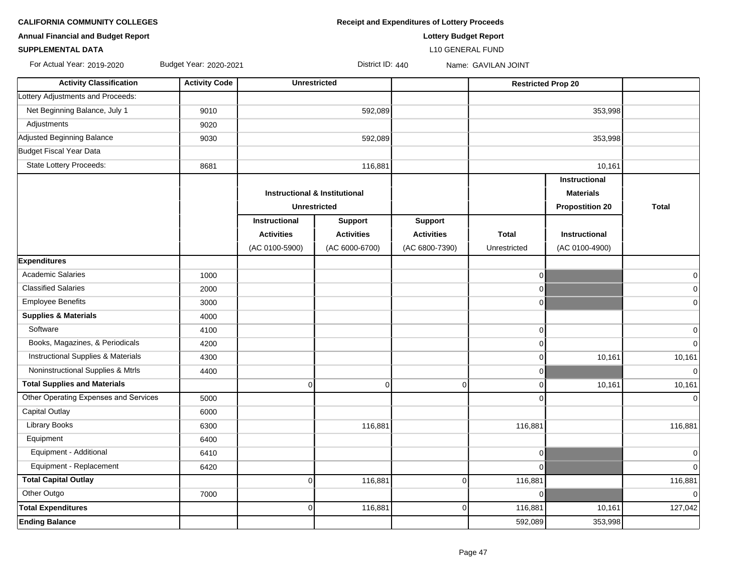**Annual Financial and Budget Report Lottery Budget Report**

**CALIFORNIA COMMUNITY COLLEGES Receipt and Expenditures of Lottery Proceeds**

**SUPPLEMENTAL DATA** L10 GENERAL FUND

For Actual Year: 2019-2020 Budget Year: 2020-2021 District ID: 440 Name: GAVILAN JOINT

**Activity Classification Activity Code Unrestricted Restricted Restricted Restricted Restricted Prop 20** Lottery Adjustments and Proceeds: Net Beginning Balance, July 1 9010 353,998 353,998 353,998 353,998 353,998 353,998 353,998 353,998 353,998 353 Adjustments 9020 Adjusted Beginning Balance | 9030 | 592,089 | 353,998 Budget Fiscal Year Data State Lottery Proceeds: 10,161 16,881 16,881 16,881 16,881 16,881 10,161 **Instructional Instructional & Institutional**  Materials **Materials Materials Materials Unrestricted Propostition 20 Total Instructional Support Support Activities Activities Activities Total Instructional** (AC 0100-5900) (AC 6000-6700) (AC 6800-7390) Unrestricted (AC 0100-4900) **Expenditures** Academic Salaries 1000 0 0 Classified Salaries 2000 0 0 Employee Benefits 3000 0 0 **Supplies & Materials** 4000 Software 4100 0 0 Books, Magazines, & Periodicals 4200 0 0 Instructional Supplies & Materials 10.161 10,161 10,161 10,161 10,161 10,161 10,161 10,161 10,161 10,161 10,161 Noninstructional Supplies & Mtrls 4400 0 0  **Total Supplies and Materials** 0 0 0 0 10,161 10,161 Other Operating Expenses and Services 5000 0 0 Capital Outlay 6000 Library Books | 6300 | 116,881 | 116,881 | 116,881 Equipment 6400 Equipment - Additional 6410 0 0 Equipment - Replacement 6420 0 0  **Total Capital Outlay** 0 116,881 0 116,881 116,881 Other Outgo 7000 0 0 **Total Expenditures** 0 116,881 0 116,881 10,161 127,042 **Ending Balance** 592,089 353,998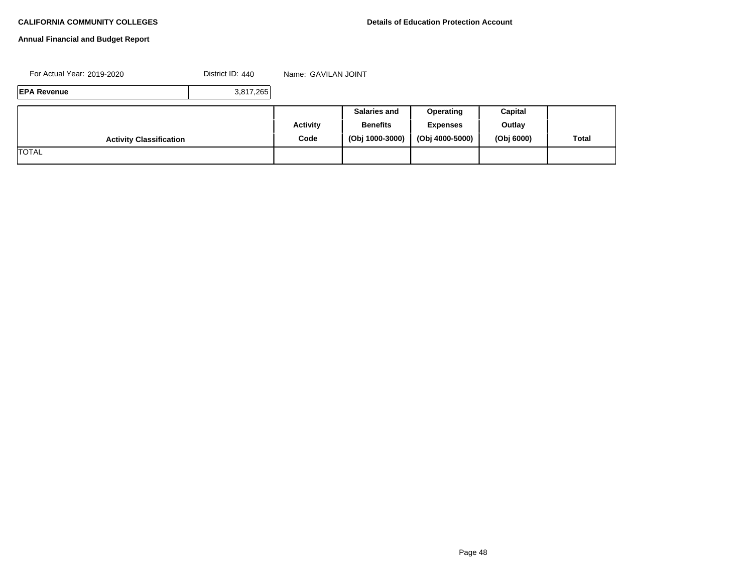# **Annual Financial and Budget Report**

For Actual Year: 2019-2020 **District ID: 440** Name: GAVILAN JOINT

**EPA Revenue** 3,817,265

|                                |          | <b>Salaries and</b> | <b>Operating</b> | Capital    |       |
|--------------------------------|----------|---------------------|------------------|------------|-------|
|                                | Activity | <b>Benefits</b>     | <b>Expenses</b>  | Outlay     |       |
| <b>Activity Classification</b> | Code     | (Obj 1000-3000)     | (Obj 4000-5000)  | (Obj 6000) | Total |
| <b>TOTAL</b>                   |          |                     |                  |            |       |